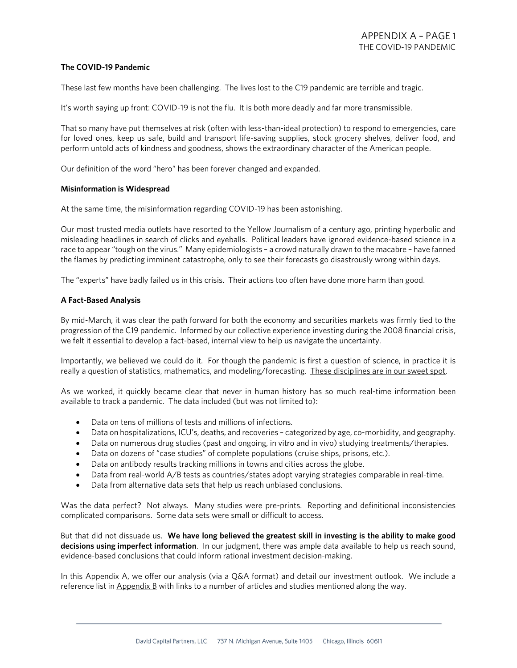## **The COVID-19 Pandemic**

These last few months have been challenging. The lives lost to the C19 pandemic are terrible and tragic.

It's worth saying up front: COVID-19 is not the flu. It is both more deadly and far more transmissible.

That so many have put themselves at risk (often with less-than-ideal protection) to respond to emergencies, care for loved ones, keep us safe, build and transport life-saving supplies, stock grocery shelves, deliver food, and perform untold acts of kindness and goodness, shows the extraordinary character of the American people.

Our definition of the word "hero" has been forever changed and expanded.

#### **Misinformation is Widespread**

At the same time, the misinformation regarding COVID-19 has been astonishing.

Our most trusted media outlets have resorted to the Yellow Journalism of a century ago, printing hyperbolic and misleading headlines in search of clicks and eyeballs. Political leaders have ignored evidence-based science in a race to appear "tough on the virus." Many epidemiologists – a crowd naturally drawn to the macabre – have fanned the flames by predicting imminent catastrophe, only to see their forecasts go disastrously wrong within days.

The "experts" have badly failed us in this crisis. Their actions too often have done more harm than good.

#### **A Fact-Based Analysis**

By mid-March, it was clear the path forward for both the economy and securities markets was firmly tied to the progression of the C19 pandemic. Informed by our collective experience investing during the 2008 financial crisis, we felt it essential to develop a fact-based, internal view to help us navigate the uncertainty.

Importantly, we believed we could do it. For though the pandemic is first a question of science, in practice it is really a question of statistics, mathematics, and modeling/forecasting. These disciplines are in our sweet spot.

As we worked, it quickly became clear that never in human history has so much real-time information been available to track a pandemic. The data included (but was not limited to):

- Data on tens of millions of tests and millions of infections.
- Data on hospitalizations, ICU's, deaths, and recoveries categorized by age, co-morbidity, and geography.
- Data on numerous drug studies (past and ongoing, in vitro and in vivo) studying treatments/therapies.
- Data on dozens of "case studies" of complete populations (cruise ships, prisons, etc.).
- Data on antibody results tracking millions in towns and cities across the globe.
- Data from real-world A/B tests as countries/states adopt varying strategies comparable in real-time.
- Data from alternative data sets that help us reach unbiased conclusions.

Was the data perfect? Not always. Many studies were pre-prints. Reporting and definitional inconsistencies complicated comparisons. Some data sets were small or difficult to access.

But that did not dissuade us. **We have long believed the greatest skill in investing is the ability to make good decisions using imperfect information**. In our judgment, there was ample data available to help us reach sound, evidence-based conclusions that could inform rational investment decision-making.

In this Appendix A, we offer our analysis (via a Q&A format) and detail our investment outlook. We include a reference list in  $\Delta$ ppendix  $B$  with links to a number of articles and studies mentioned along the way.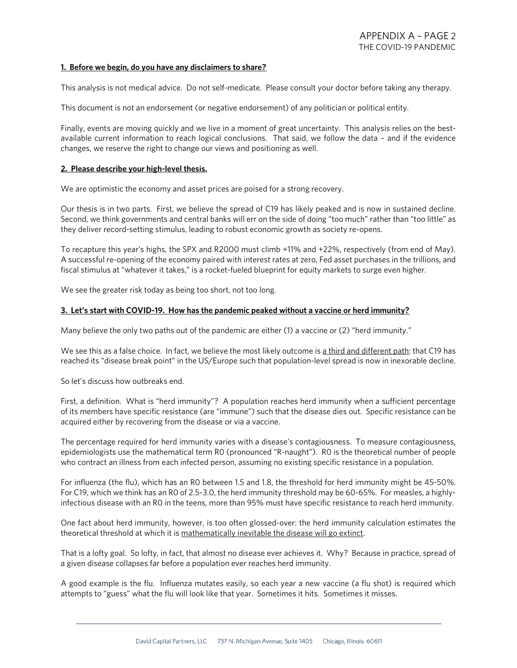#### **1. Before we begin, do you have any disclaimers to share?**

This analysis is not medical advice. Do not self-medicate. Please consult your doctor before taking any therapy.

This document is not an endorsement (or negative endorsement) of any politician or political entity.

Finally, events are moving quickly and we live in a moment of great uncertainty. This analysis relies on the bestavailable current information to reach logical conclusions. That said, we follow the data – and if the evidence changes, we reserve the right to change our views and positioning as well.

#### **2. Please describe your high-level thesis.**

We are optimistic the economy and asset prices are poised for a strong recovery.

Our thesis is in two parts. First, we believe the spread of C19 has likely peaked and is now in sustained decline. Second, we think governments and central banks will err on the side of doing "too much" rather than "too little" as they deliver record-setting stimulus, leading to robust economic growth as society re-opens.

To recapture this year's highs, the SPX and R2000 must climb +11% and +22%, respectively (from end of May). A successful re-opening of the economy paired with interest rates at zero, Fed asset purchases in the trillions, and fiscal stimulus at "whatever it takes," is a rocket-fueled blueprint for equity markets to surge even higher.

We see the greater risk today as being too short, not too long.

#### **3. Let's start with COVID-19. How has the pandemic peaked without a vaccine or herd immunity?**

Many believe the only two paths out of the pandemic are either (1) a vaccine or (2) "herd immunity."

We see this as a false choice. In fact, we believe the most likely outcome is a third and different path: that C19 has reached its "disease break point" in the US/Europe such that population-level spread is now in inexorable decline.

So let's discuss how outbreaks end.

First, a definition. What is "herd immunity"? A population reaches herd immunity when a sufficient percentage of its members have specific resistance (are "immune") such that the disease dies out. Specific resistance can be acquired either by recovering from the disease or via a vaccine.

The percentage required for herd immunity varies with a disease's contagiousness. To measure contagiousness, epidemiologists use the mathematical term R0 (pronounced "R-naught"). R0 is the theoretical number of people who contract an illness from each infected person, assuming no existing specific resistance in a population.

For influenza (the flu), which has an R0 between 1.5 and 1.8, the threshold for herd immunity might be 45-50%. For C19, which we think has an R0 of 2.5-3.0, the herd immunity threshold may be 60-65%. For measles, a highlyinfectious disease with an R0 in the teens, more than 95% must have specific resistance to reach herd immunity.

One fact about herd immunity, however, is too often glossed-over: the herd immunity calculation estimates the theoretical threshold at which it is mathematically inevitable the disease will go extinct.

That is a lofty goal. So lofty, in fact, that almost no disease ever achieves it. Why? Because in practice, spread of a given disease collapses far before a population ever reaches herd immunity.

A good example is the flu. Influenza mutates easily, so each year a new vaccine (a flu shot) is required which attempts to "guess" what the flu will look like that year. Sometimes it hits. Sometimes it misses.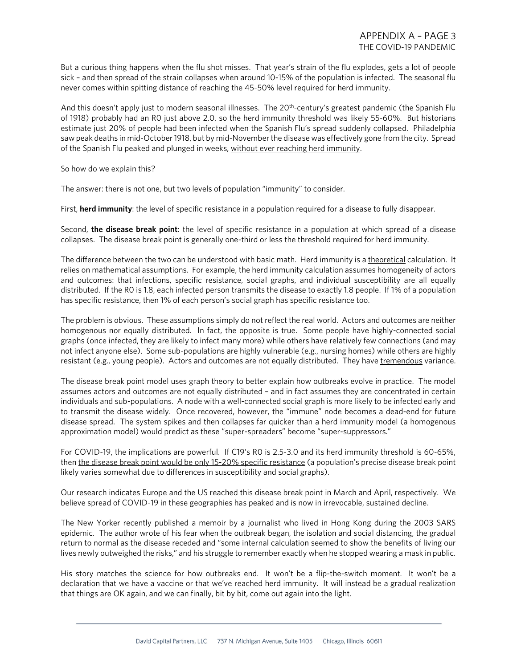But a curious thing happens when the flu shot misses. That year's strain of the flu explodes, gets a lot of people sick – and then spread of the strain collapses when around 10-15% of the population is infected. The seasonal flu never comes within spitting distance of reaching the 45-50% level required for herd immunity.

And this doesn't apply just to modern seasonal illnesses. The 20<sup>th</sup>-century's greatest pandemic (the Spanish Flu of 1918) probably had an R0 just above 2.0, so the herd immunity threshold was likely 55-60%. But historians estimate just 20% of people had been infected when the Spanish Flu's spread suddenly collapsed. Philadelphia saw peak deaths in mid-October 1918, but by mid-November the disease was effectively gone from the city. Spread of the Spanish Flu peaked and plunged in weeks, without ever reaching herd immunity.

So how do we explain this?

The answer: there is not one, but two levels of population "immunity" to consider.

First, **herd immunity**: the level of specific resistance in a population required for a disease to fully disappear.

Second, **the disease break point**: the level of specific resistance in a population at which spread of a disease collapses. The disease break point is generally one-third or less the threshold required for herd immunity.

The difference between the two can be understood with basic math. Herd immunity is a theoretical calculation. It relies on mathematical assumptions. For example, the herd immunity calculation assumes homogeneity of actors and outcomes: that infections, specific resistance, social graphs, and individual susceptibility are all equally distributed. If the R0 is 1.8, each infected person transmits the disease to exactly 1.8 people. If 1% of a population has specific resistance, then 1% of each person's social graph has specific resistance too.

The problem is obvious. These assumptions simply do not reflect the real world. Actors and outcomes are neither homogenous nor equally distributed. In fact, the opposite is true. Some people have highly-connected social graphs (once infected, they are likely to infect many more) while others have relatively few connections (and may not infect anyone else). Some sub-populations are highly vulnerable (e.g., nursing homes) while others are highly resistant (e.g., young people). Actors and outcomes are not equally distributed. They have tremendous variance.

The disease break point model uses graph theory to better explain how outbreaks evolve in practice. The model assumes actors and outcomes are not equally distributed – and in fact assumes they are concentrated in certain individuals and sub-populations. A node with a well-connected social graph is more likely to be infected early and to transmit the disease widely. Once recovered, however, the "immune" node becomes a dead-end for future disease spread. The system spikes and then collapses far quicker than a herd immunity model (a homogenous approximation model) would predict as these "super-spreaders" become "super-suppressors."

For COVID-19, the implications are powerful. If C19's R0 is 2.5-3.0 and its herd immunity threshold is 60-65%, then the disease break point would be only 15-20% specific resistance (a population's precise disease break point likely varies somewhat due to differences in susceptibility and social graphs).

Our research indicates Europe and the US reached this disease break point in March and April, respectively. We believe spread of COVID-19 in these geographies has peaked and is now in irrevocable, sustained decline.

The New Yorker recently published a memoir by a journalist who lived in Hong Kong during the 2003 SARS epidemic. The author wrote of his fear when the outbreak began, the isolation and social distancing, the gradual return to normal as the disease receded and "some internal calculation seemed to show the benefits of living our lives newly outweighed the risks," and his struggle to remember exactly when he stopped wearing a mask in public.

His story matches the science for how outbreaks end. It won't be a flip-the-switch moment. It won't be a declaration that we have a vaccine or that we've reached herd immunity. It will instead be a gradual realization that things are OK again, and we can finally, bit by bit, come out again into the light.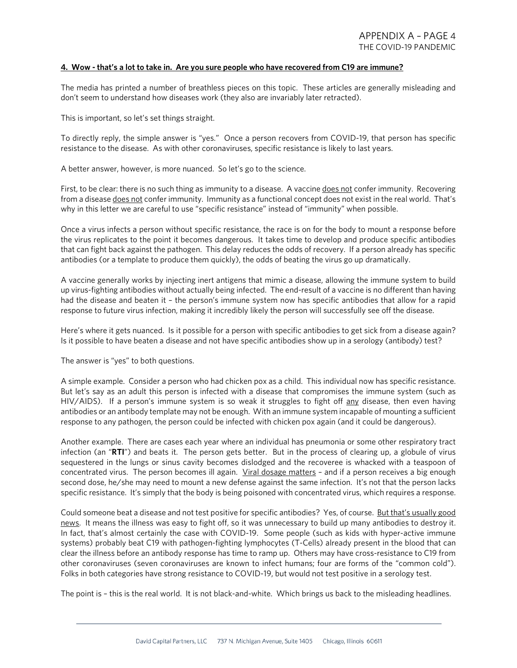### **4. Wow - that's a lot to take in. Are you sure people who have recovered from C19 are immune?**

The media has printed a number of breathless pieces on this topic. These articles are generally misleading and don't seem to understand how diseases work (they also are invariably later retracted).

This is important, so let's set things straight.

To directly reply, the simple answer is "yes." Once a person recovers from COVID-19, that person has specific resistance to the disease. As with other coronaviruses, specific resistance is likely to last years.

A better answer, however, is more nuanced. So let's go to the science.

First, to be clear: there is no such thing as immunity to a disease. A vaccine does not confer immunity. Recovering from a disease does not confer immunity. Immunity as a functional concept does not exist in the real world. That's why in this letter we are careful to use "specific resistance" instead of "immunity" when possible.

Once a virus infects a person without specific resistance, the race is on for the body to mount a response before the virus replicates to the point it becomes dangerous. It takes time to develop and produce specific antibodies that can fight back against the pathogen. This delay reduces the odds of recovery. If a person already has specific antibodies (or a template to produce them quickly), the odds of beating the virus go up dramatically.

A vaccine generally works by injecting inert antigens that mimic a disease, allowing the immune system to build up virus-fighting antibodies without actually being infected. The end-result of a vaccine is no different than having had the disease and beaten it – the person's immune system now has specific antibodies that allow for a rapid response to future virus infection, making it incredibly likely the person will successfully see off the disease.

Here's where it gets nuanced. Is it possible for a person with specific antibodies to get sick from a disease again? Is it possible to have beaten a disease and not have specific antibodies show up in a serology (antibody) test?

The answer is "yes" to both questions.

A simple example. Consider a person who had chicken pox as a child. This individual now has specific resistance. But let's say as an adult this person is infected with a disease that compromises the immune system (such as HIV/AIDS). If a person's immune system is so weak it struggles to fight off any disease, then even having antibodies or an antibody template may not be enough. With an immune system incapable of mounting a sufficient response to any pathogen, the person could be infected with chicken pox again (and it could be dangerous).

Another example. There are cases each year where an individual has pneumonia or some other respiratory tract infection (an "**RTI**") and beats it. The person gets better. But in the process of clearing up, a globule of virus sequestered in the lungs or sinus cavity becomes dislodged and the recoveree is whacked with a teaspoon of concentrated virus. The person becomes ill again. Viral dosage matters - and if a person receives a big enough second dose, he/she may need to mount a new defense against the same infection. It's not that the person lacks specific resistance. It's simply that the body is being poisoned with concentrated virus, which requires a response.

Could someone beat a disease and not test positive for specific antibodies? Yes, of course. But that's usually good news. It means the illness was easy to fight off, so it was unnecessary to build up many antibodies to destroy it. In fact, that's almost certainly the case with COVID-19. Some people (such as kids with hyper-active immune systems) probably beat C19 with pathogen-fighting lymphocytes (T-Cells) already present in the blood that can clear the illness before an antibody response has time to ramp up. Others may have cross-resistance to C19 from other coronaviruses (seven coronaviruses are known to infect humans; four are forms of the "common cold"). Folks in both categories have strong resistance to COVID-19, but would not test positive in a serology test.

The point is – this is the real world. It is not black-and-white. Which brings us back to the misleading headlines.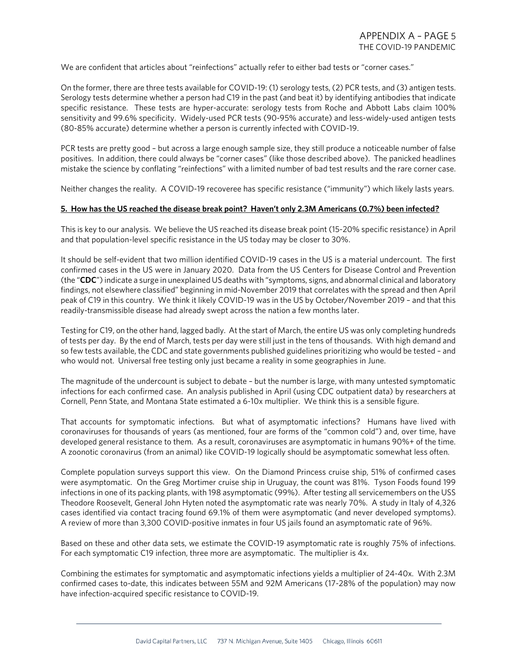We are confident that articles about "reinfections" actually refer to either bad tests or "corner cases."

On the former, there are three tests available for COVID-19: (1) serology tests, (2) PCR tests, and (3) antigen tests. Serology tests determine whether a person had C19 in the past (and beat it) by identifying antibodies that indicate specific resistance. These tests are hyper-accurate: serology tests from Roche and Abbott Labs claim 100% sensitivity and 99.6% specificity. Widely-used PCR tests (90-95% accurate) and less-widely-used antigen tests (80-85% accurate) determine whether a person is currently infected with COVID-19.

PCR tests are pretty good – but across a large enough sample size, they still produce a noticeable number of false positives. In addition, there could always be "corner cases" (like those described above). The panicked headlines mistake the science by conflating "reinfections" with a limited number of bad test results and the rare corner case.

Neither changes the reality. A COVID-19 recoveree has specific resistance ("immunity") which likely lasts years.

#### **5. How has the US reached the disease break point? Haven't only 2.3M Americans (0.7%) been infected?**

This is key to our analysis. We believe the US reached its disease break point (15-20% specific resistance) in April and that population-level specific resistance in the US today may be closer to 30%.

It should be self-evident that two million identified COVID-19 cases in the US is a material undercount. The first confirmed cases in the US were in January 2020. Data from the US Centers for Disease Control and Prevention (the "**CDC**") indicate a surge in unexplained US deaths with "symptoms, signs, and abnormal clinical and laboratory findings, not elsewhere classified" beginning in mid-November 2019 that correlates with the spread and then April peak of C19 in this country. We think it likely COVID-19 was in the US by October/November 2019 – and that this readily-transmissible disease had already swept across the nation a few months later.

Testing for C19, on the other hand, lagged badly. At the start of March, the entire US was only completing hundreds of tests per day. By the end of March, tests per day were still just in the tens of thousands. With high demand and so few tests available, the CDC and state governments published guidelines prioritizing who would be tested – and who would not. Universal free testing only just became a reality in some geographies in June.

The magnitude of the undercount is subject to debate – but the number is large, with many untested symptomatic infections for each confirmed case. An analysis published in April (using CDC outpatient data) by researchers at Cornell, Penn State, and Montana State estimated a 6-10x multiplier. We think this is a sensible figure.

That accounts for symptomatic infections. But what of asymptomatic infections? Humans have lived with coronaviruses for thousands of years (as mentioned, four are forms of the "common cold") and, over time, have developed general resistance to them. As a result, coronaviruses are asymptomatic in humans 90%+ of the time. A zoonotic coronavirus (from an animal) like COVID-19 logically should be asymptomatic somewhat less often.

Complete population surveys support this view. On the Diamond Princess cruise ship, 51% of confirmed cases were asymptomatic. On the Greg Mortimer cruise ship in Uruguay, the count was 81%. Tyson Foods found 199 infections in one of its packing plants, with 198 asymptomatic (99%). After testing all servicemembers on the USS Theodore Roosevelt, General John Hyten noted the asymptomatic rate was nearly 70%. A study in Italy of 4,326 cases identified via contact tracing found 69.1% of them were asymptomatic (and never developed symptoms). A review of more than 3,300 COVID-positive inmates in four US jails found an asymptomatic rate of 96%.

Based on these and other data sets, we estimate the COVID-19 asymptomatic rate is roughly 75% of infections. For each symptomatic C19 infection, three more are asymptomatic. The multiplier is 4x.

Combining the estimates for symptomatic and asymptomatic infections yields a multiplier of 24-40x. With 2.3M confirmed cases to-date, this indicates between 55M and 92M Americans (17-28% of the population) may now have infection-acquired specific resistance to COVID-19.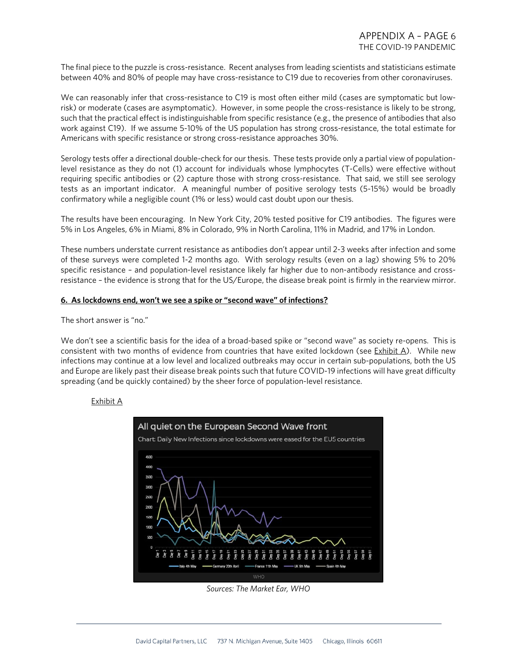The final piece to the puzzle is cross-resistance. Recent analyses from leading scientists and statisticians estimate between 40% and 80% of people may have cross-resistance to C19 due to recoveries from other coronaviruses.

We can reasonably infer that cross-resistance to C19 is most often either mild (cases are symptomatic but lowrisk) or moderate (cases are asymptomatic). However, in some people the cross-resistance is likely to be strong, such that the practical effect is indistinguishable from specific resistance (e.g., the presence of antibodies that also work against C19). If we assume 5-10% of the US population has strong cross-resistance, the total estimate for Americans with specific resistance or strong cross-resistance approaches 30%.

Serology tests offer a directional double-check for our thesis. These tests provide only a partial view of populationlevel resistance as they do not (1) account for individuals whose lymphocytes (T-Cells) were effective without requiring specific antibodies or (2) capture those with strong cross-resistance. That said, we still see serology tests as an important indicator. A meaningful number of positive serology tests (5-15%) would be broadly confirmatory while a negligible count (1% or less) would cast doubt upon our thesis.

The results have been encouraging. In New York City, 20% tested positive for C19 antibodies. The figures were 5% in Los Angeles, 6% in Miami, 8% in Colorado, 9% in North Carolina, 11% in Madrid, and 17% in London.

These numbers understate current resistance as antibodies don't appear until 2-3 weeks after infection and some of these surveys were completed 1-2 months ago. With serology results (even on a lag) showing 5% to 20% specific resistance – and population-level resistance likely far higher due to non-antibody resistance and crossresistance – the evidence is strong that for the US/Europe, the disease break point is firmly in the rearview mirror.

#### **6. As lockdowns end, won't we see a spike or "second wave" of infections?**

The short answer is "no."

We don't see a scientific basis for the idea of a broad-based spike or "second wave" as society re-opens. This is consistent with two months of evidence from countries that have exited lockdown (see Exhibit A). While new infections may continue at a low level and localized outbreaks may occur in certain sub-populations, both the US and Europe are likely past their disease break points such that future COVID-19 infections will have great difficulty spreading (and be quickly contained) by the sheer force of population-level resistance.

## Exhibit A



*Sources: The Market Ear, WHO*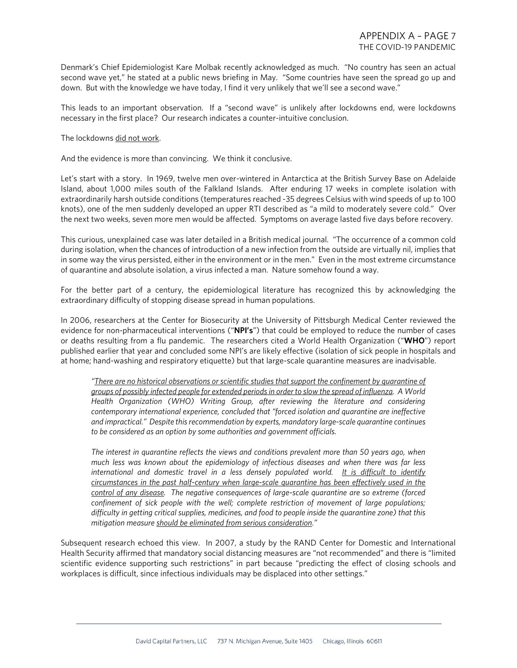Denmark's Chief Epidemiologist Kare Molbak recently acknowledged as much. "No country has seen an actual second wave yet," he stated at a public news briefing in May. "Some countries have seen the spread go up and down. But with the knowledge we have today, I find it very unlikely that we'll see a second wave."

This leads to an important observation. If a "second wave" is unlikely after lockdowns end, were lockdowns necessary in the first place? Our research indicates a counter-intuitive conclusion.

#### The lockdowns did not work.

And the evidence is more than convincing. We think it conclusive.

Let's start with a story. In 1969, twelve men over-wintered in Antarctica at the British Survey Base on Adelaide Island, about 1,000 miles south of the Falkland Islands. After enduring 17 weeks in complete isolation with extraordinarily harsh outside conditions (temperatures reached -35 degrees Celsius with wind speeds of up to 100 knots), one of the men suddenly developed an upper RTI described as "a mild to moderately severe cold." Over the next two weeks, seven more men would be affected. Symptoms on average lasted five days before recovery.

This curious, unexplained case was later detailed in a British medical journal. "The occurrence of a common cold during isolation, when the chances of introduction of a new infection from the outside are virtually nil, implies that in some way the virus persisted, either in the environment or in the men." Even in the most extreme circumstance of quarantine and absolute isolation, a virus infected a man. Nature somehow found a way.

For the better part of a century, the epidemiological literature has recognized this by acknowledging the extraordinary difficulty of stopping disease spread in human populations.

In 2006, researchers at the Center for Biosecurity at the University of Pittsburgh Medical Center reviewed the evidence for non-pharmaceutical interventions ("**NPI's**") that could be employed to reduce the number of cases or deaths resulting from a flu pandemic. The researchers cited a World Health Organization ("**WHO**") report published earlier that year and concluded some NPI's are likely effective (isolation of sick people in hospitals and at home; hand-washing and respiratory etiquette) but that large-scale quarantine measures are inadvisable.

*"There are no historical observations or scientific studies that support the confinement by quarantine of groups of possibly infected people for extended periods in order to slow the spread of influenza. A World Health Organization (WHO) Writing Group, after reviewing the literature and considering contemporary international experience, concluded that "forced isolation and quarantine are ineffective and impractical." Despite this recommendation by experts, mandatory large-scale quarantine continues to be considered as an option by some authorities and government officials.*

*The interest in quarantine reflects the views and conditions prevalent more than 50 years ago, when much less was known about the epidemiology of infectious diseases and when there was far less international and domestic travel in a less densely populated world. It is difficult to identify circumstances in the past half-century when large-scale quarantine has been effectively used in the control of any disease. The negative consequences of large-scale quarantine are so extreme (forced confinement of sick people with the well; complete restriction of movement of large populations; difficulty in getting critical supplies, medicines, and food to people inside the quarantine zone) that this mitigation measure should be eliminated from serious consideration."*

Subsequent research echoed this view. In 2007, a study by the RAND Center for Domestic and International Health Security affirmed that mandatory social distancing measures are "not recommended" and there is "limited scientific evidence supporting such restrictions" in part because "predicting the effect of closing schools and workplaces is difficult, since infectious individuals may be displaced into other settings."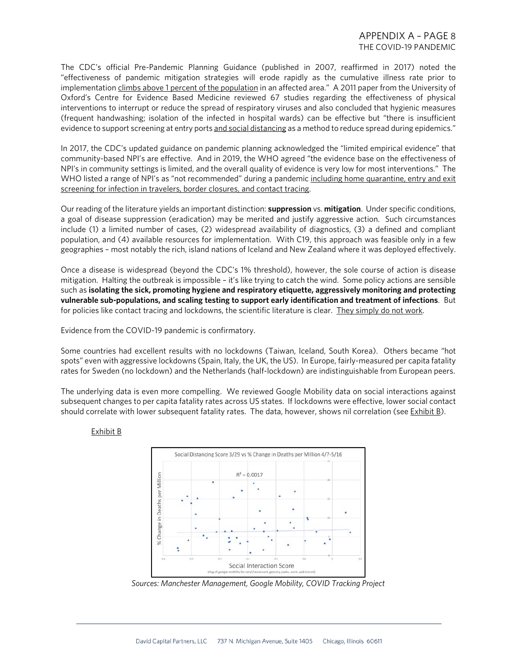# APPENDIX A – PAGE 8 THE COVID-19 PANDEMIC

The CDC's official Pre-Pandemic Planning Guidance (published in 2007, reaffirmed in 2017) noted the "effectiveness of pandemic mitigation strategies will erode rapidly as the cumulative illness rate prior to implementation climbs above 1 percent of the population in an affected area." A 2011 paper from the University of Oxford's Centre for Evidence Based Medicine reviewed 67 studies regarding the effectiveness of physical interventions to interrupt or reduce the spread of respiratory viruses and also concluded that hygienic measures (frequent handwashing; isolation of the infected in hospital wards) can be effective but "there is insufficient evidence to support screening at entry ports and social distancing as a method to reduce spread during epidemics."

In 2017, the CDC's updated guidance on pandemic planning acknowledged the "limited empirical evidence" that community-based NPI's are effective. And in 2019, the WHO agreed "the evidence base on the effectiveness of NPI's in community settings is limited, and the overall quality of evidence is very low for most interventions." The WHO listed a range of NPI's as "not recommended" during a pandemic including home quarantine, entry and exit screening for infection in travelers, border closures, and contact tracing.

Our reading of the literature yields an important distinction: **suppression** vs. **mitigation**. Under specific conditions, a goal of disease suppression (eradication) may be merited and justify aggressive action. Such circumstances include (1) a limited number of cases, (2) widespread availability of diagnostics, (3) a defined and compliant population, and (4) available resources for implementation. With C19, this approach was feasible only in a few geographies – most notably the rich, island nations of Iceland and New Zealand where it was deployed effectively.

Once a disease is widespread (beyond the CDC's 1% threshold), however, the sole course of action is disease mitigation. Halting the outbreak is impossible – it's like trying to catch the wind. Some policy actions are sensible such as **isolating the sick, promoting hygiene and respiratory etiquette, aggressively monitoring and protecting vulnerable sub-populations, and scaling testing to support early identification and treatment of infections**. But for policies like contact tracing and lockdowns, the scientific literature is clear. They simply do not work.

Evidence from the COVID-19 pandemic is confirmatory.

Some countries had excellent results with no lockdowns (Taiwan, Iceland, South Korea). Others became "hot spots" even with aggressive lockdowns (Spain, Italy, the UK, the US). In Europe, fairly-measured per capita fatality rates for Sweden (no lockdown) and the Netherlands (half-lockdown) are indistinguishable from European peers.

The underlying data is even more compelling. We reviewed Google Mobility data on social interactions against subsequent changes to per capita fatality rates across US states. If lockdowns were effective, lower social contact should correlate with lower subsequent fatality rates. The data, however, shows nil correlation (see Exhibit B).

## Exhibit B



*Sources: Manchester Management, Google Mobility, COVID Tracking Project*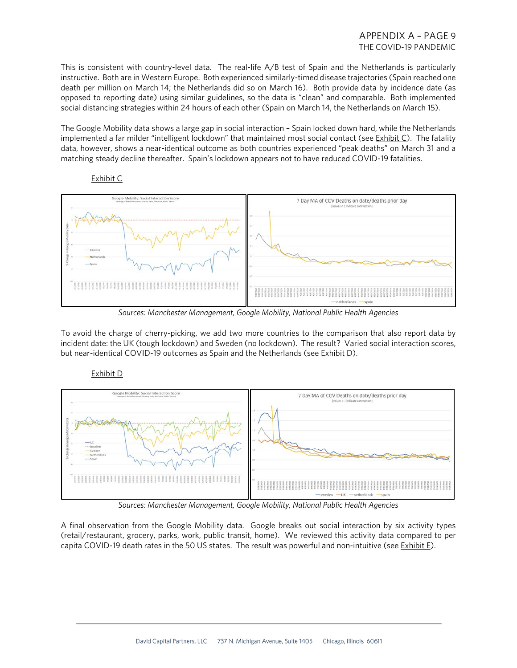This is consistent with country-level data. The real-life A/B test of Spain and the Netherlands is particularly instructive. Both are in Western Europe. Both experienced similarly-timed disease trajectories (Spain reached one death per million on March 14; the Netherlands did so on March 16). Both provide data by incidence date (as opposed to reporting date) using similar guidelines, so the data is "clean" and comparable. Both implemented social distancing strategies within 24 hours of each other (Spain on March 14, the Netherlands on March 15).

The Google Mobility data shows a large gap in social interaction – Spain locked down hard, while the Netherlands implemented a far milder "intelligent lockdown" that maintained most social contact (see Exhibit C). The fatality data, however, shows a near-identical outcome as both countries experienced "peak deaths" on March 31 and a matching steady decline thereafter. Spain's lockdown appears not to have reduced COVID-19 fatalities.



## Exhibit C

*Sources: Manchester Management, Google Mobility, National Public Health Agencies*

To avoid the charge of cherry-picking, we add two more countries to the comparison that also report data by incident date: the UK (tough lockdown) and Sweden (no lockdown). The result? Varied social interaction scores, but near-identical COVID-19 outcomes as Spain and the Netherlands (see Exhibit D).

## Exhibit D



*Sources: Manchester Management, Google Mobility, National Public Health Agencies*

A final observation from the Google Mobility data. Google breaks out social interaction by six activity types (retail/restaurant, grocery, parks, work, public transit, home). We reviewed this activity data compared to per capita COVID-19 death rates in the 50 US states. The result was powerful and non-intuitive (see Exhibit E).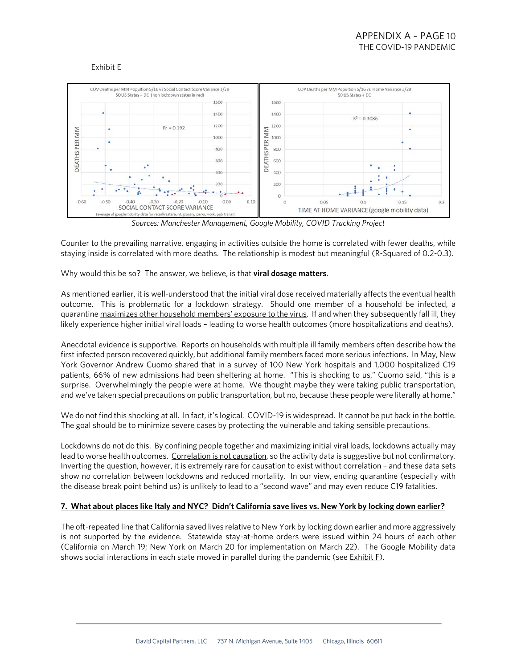## Exhibit E



*Sources: Manchester Management, Google Mobility, COVID Tracking Project*

Counter to the prevailing narrative, engaging in activities outside the home is correlated with fewer deaths, while staying inside is correlated with more deaths. The relationship is modest but meaningful (R-Squared of 0.2-0.3).

Why would this be so? The answer, we believe, is that **viral dosage matters**.

As mentioned earlier, it is well-understood that the initial viral dose received materially affects the eventual health outcome. This is problematic for a lockdown strategy. Should one member of a household be infected, a quarantine maximizes other household members' exposure to the virus. If and when they subsequently fall ill, they likely experience higher initial viral loads – leading to worse health outcomes (more hospitalizations and deaths).

Anecdotal evidence is supportive. Reports on households with multiple ill family members often describe how the first infected person recovered quickly, but additional family members faced more serious infections. In May, New York Governor Andrew Cuomo shared that in a survey of 100 New York hospitals and 1,000 hospitalized C19 patients, 66% of new admissions had been sheltering at home. "This is shocking to us," Cuomo said, "this is a surprise. Overwhelmingly the people were at home. We thought maybe they were taking public transportation, and we've taken special precautions on public transportation, but no, because these people were literally at home."

We do not find this shocking at all. In fact, it's logical. COVID-19 is widespread. It cannot be put back in the bottle. The goal should be to minimize severe cases by protecting the vulnerable and taking sensible precautions.

Lockdowns do not do this. By confining people together and maximizing initial viral loads, lockdowns actually may lead to worse health outcomes. Correlation is not causation, so the activity data is suggestive but not confirmatory. Inverting the question, however, it is extremely rare for causation to exist without correlation – and these data sets show no correlation between lockdowns and reduced mortality. In our view, ending quarantine (especially with the disease break point behind us) is unlikely to lead to a "second wave" and may even reduce C19 fatalities.

## **7. What about places like Italy and NYC? Didn't California save lives vs. New York by locking down earlier?**

The oft-repeated line that California saved lives relative to New York by locking down earlier and more aggressively is not supported by the evidence. Statewide stay-at-home orders were issued within 24 hours of each other (California on March 19; New York on March 20 for implementation on March 22). The Google Mobility data shows social interactions in each state moved in parallel during the pandemic (see Exhibit F).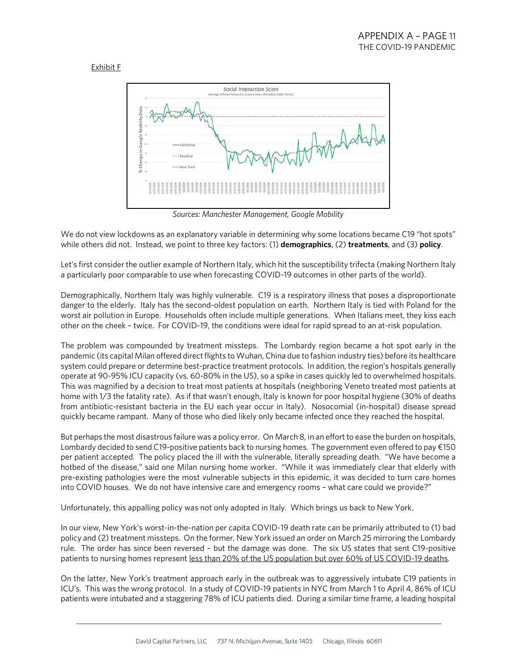## Exhibit F



*Sources: Manchester Management, Google Mobility*

We do not view lockdowns as an explanatory variable in determining why some locations became C19 "hot spots" while others did not. Instead, we point to three key factors: (1) **demographics**, (2) **treatments**, and (3) **policy**.

Let's first consider the outlier example of Northern Italy, which hit the susceptibility trifecta (making Northern Italy a particularly poor comparable to use when forecasting COVID-19 outcomes in other parts of the world).

Demographically, Northern Italy was highly vulnerable. C19 is a respiratory illness that poses a disproportionate danger to the elderly. Italy has the second-oldest population on earth. Northern Italy is tied with Poland for the worst air pollution in Europe. Households often include multiple generations. When Italians meet, they kiss each other on the cheek – twice. For COVID-19, the conditions were ideal for rapid spread to an at-risk population.

The problem was compounded by treatment missteps. The Lombardy region became a hot spot early in the pandemic (its capital Milan offered direct flights to Wuhan, China due to fashion industry ties) before its healthcare system could prepare or determine best-practice treatment protocols. In addition, the region's hospitals generally operate at 90-95% ICU capacity (vs. 60-80% in the US), so a spike in cases quickly led to overwhelmed hospitals. This was magnified by a decision to treat most patients at hospitals (neighboring Veneto treated most patients at home with 1/3 the fatality rate). As if that wasn't enough, Italy is known for poor hospital hygiene (30% of deaths from antibiotic-resistant bacteria in the EU each year occur in Italy). Nosocomial (in-hospital) disease spread quickly became rampant. Many of those who died likely only became infected once they reached the hospital.

But perhaps the most disastrous failure was a policy error. On March 8, in an effort to ease the burden on hospitals, Lombardy decided to send C19-positive patients back to nursing homes. The government even offered to pay €150 per patient accepted. The policy placed the ill with the vulnerable, literally spreading death. "We have become a hotbed of the disease," said one Milan nursing home worker. "While it was immediately clear that elderly with pre-existing pathologies were the most vulnerable subjects in this epidemic, it was decided to turn care homes into COVID houses. We do not have intensive care and emergency rooms – what care could we provide?"

Unfortunately, this appalling policy was not only adopted in Italy. Which brings us back to New York.

In our view, New York's worst-in-the-nation per capita COVID-19 death rate can be primarily attributed to (1) bad policy and (2) treatment missteps. On the former, New York issued an order on March 25 mirroring the Lombardy rule. The order has since been reversed – but the damage was done. The six US states that sent C19-positive patients to nursing homes represent less than 20% of the US population but over 60% of US COVID-19 deaths.

On the latter, New York's treatment approach early in the outbreak was to aggressively intubate C19 patients in ICU's. This was the wrong protocol. In a study of COVID-19 patients in NYC from March 1 to April 4, 86% of ICU patients were intubated and a staggering 78% of ICU patients died. During a similar time frame, a leading hospital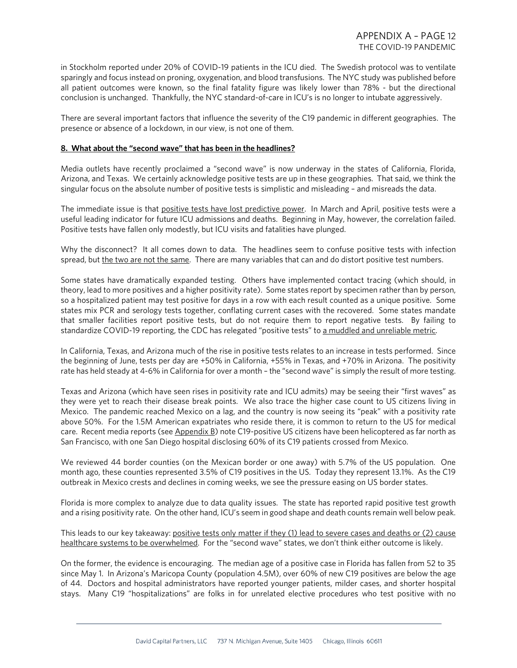in Stockholm reported under 20% of COVID-19 patients in the ICU died. The Swedish protocol was to ventilate sparingly and focus instead on proning, oxygenation, and blood transfusions. The NYC study was published before all patient outcomes were known, so the final fatality figure was likely lower than 78% - but the directional conclusion is unchanged. Thankfully, the NYC standard-of-care in ICU's is no longer to intubate aggressively.

There are several important factors that influence the severity of the C19 pandemic in different geographies. The presence or absence of a lockdown, in our view, is not one of them.

## **8. What about the "second wave" that has been in the headlines?**

Media outlets have recently proclaimed a "second wave" is now underway in the states of California, Florida, Arizona, and Texas. We certainly acknowledge positive tests are up in these geographies. That said, we think the singular focus on the absolute number of positive tests is simplistic and misleading – and misreads the data.

The immediate issue is that positive tests have lost predictive power. In March and April, positive tests were a useful leading indicator for future ICU admissions and deaths. Beginning in May, however, the correlation failed. Positive tests have fallen only modestly, but ICU visits and fatalities have plunged.

Why the disconnect? It all comes down to data. The headlines seem to confuse positive tests with infection spread, but the two are not the same. There are many variables that can and do distort positive test numbers.

Some states have dramatically expanded testing. Others have implemented contact tracing (which should, in theory, lead to more positives and a higher positivity rate). Some states report by specimen rather than by person, so a hospitalized patient may test positive for days in a row with each result counted as a unique positive. Some states mix PCR and serology tests together, conflating current cases with the recovered. Some states mandate that smaller facilities report positive tests, but do not require them to report negative tests. By failing to standardize COVID-19 reporting, the CDC has relegated "positive tests" to a muddled and unreliable metric.

In California, Texas, and Arizona much of the rise in positive tests relates to an increase in tests performed. Since the beginning of June, tests per day are +50% in California, +55% in Texas, and +70% in Arizona. The positivity rate has held steady at 4-6% in California for over a month – the "second wave" is simply the result of more testing.

Texas and Arizona (which have seen rises in positivity rate and ICU admits) may be seeing their "first waves" as they were yet to reach their disease break points. We also trace the higher case count to US citizens living in Mexico. The pandemic reached Mexico on a lag, and the country is now seeing its "peak" with a positivity rate above 50%. For the 1.5M American expatriates who reside there, it is common to return to the US for medical care. Recent media reports (see Appendix B) note C19-positive US citizens have been helicoptered as far north as San Francisco, with one San Diego hospital disclosing 60% of its C19 patients crossed from Mexico.

We reviewed 44 border counties (on the Mexican border or one away) with 5.7% of the US population. One month ago, these counties represented 3.5% of C19 positives in the US. Today they represent 13.1%. As the C19 outbreak in Mexico crests and declines in coming weeks, we see the pressure easing on US border states.

Florida is more complex to analyze due to data quality issues. The state has reported rapid positive test growth and a rising positivity rate. On the other hand, ICU's seem in good shape and death counts remain well below peak.

This leads to our key takeaway: positive tests only matter if they (1) lead to severe cases and deaths or (2) cause healthcare systems to be overwhelmed. For the "second wave" states, we don't think either outcome is likely.

On the former, the evidence is encouraging. The median age of a positive case in Florida has fallen from 52 to 35 since May 1. In Arizona's Maricopa County (population 4.5M), over 60% of new C19 positives are below the age of 44. Doctors and hospital administrators have reported younger patients, milder cases, and shorter hospital stays. Many C19 "hospitalizations" are folks in for unrelated elective procedures who test positive with no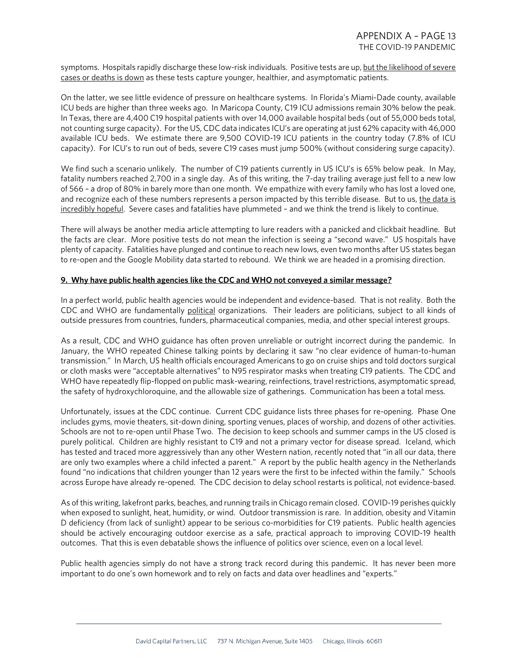symptoms. Hospitals rapidly discharge these low-risk individuals. Positive tests are up, but the likelihood of severe cases or deaths is down as these tests capture younger, healthier, and asymptomatic patients.

On the latter, we see little evidence of pressure on healthcare systems. In Florida's Miami-Dade county, available ICU beds are higher than three weeks ago. In Maricopa County, C19 ICU admissions remain 30% below the peak. In Texas, there are 4,400 C19 hospital patients with over 14,000 available hospital beds (out of 55,000 beds total, not counting surge capacity). For the US, CDC data indicates ICU's are operating at just 62% capacity with 46,000 available ICU beds. We estimate there are 9,500 COVID-19 ICU patients in the country today (7.8% of ICU capacity). For ICU's to run out of beds, severe C19 cases must jump 500% (without considering surge capacity).

We find such a scenario unlikely. The number of C19 patients currently in US ICU's is 65% below peak. In May, fatality numbers reached 2,700 in a single day. As of this writing, the 7-day trailing average just fell to a new low of 566 – a drop of 80% in barely more than one month. We empathize with every family who has lost a loved one, and recognize each of these numbers represents a person impacted by this terrible disease. But to us, the data is incredibly hopeful. Severe cases and fatalities have plummeted – and we think the trend is likely to continue.

There will always be another media article attempting to lure readers with a panicked and clickbait headline. But the facts are clear. More positive tests do not mean the infection is seeing a "second wave." US hospitals have plenty of capacity. Fatalities have plunged and continue to reach new lows, even two months after US states began to re-open and the Google Mobility data started to rebound. We think we are headed in a promising direction.

## **9. Why have public health agencies like the CDC and WHO not conveyed a similar message?**

In a perfect world, public health agencies would be independent and evidence-based. That is not reality. Both the CDC and WHO are fundamentally political organizations. Their leaders are politicians, subject to all kinds of outside pressures from countries, funders, pharmaceutical companies, media, and other special interest groups.

As a result, CDC and WHO guidance has often proven unreliable or outright incorrect during the pandemic. In January, the WHO repeated Chinese talking points by declaring it saw "no clear evidence of human-to-human transmission." In March, US health officials encouraged Americans to go on cruise ships and told doctors surgical or cloth masks were "acceptable alternatives" to N95 respirator masks when treating C19 patients. The CDC and WHO have repeatedly flip-flopped on public mask-wearing, reinfections, travel restrictions, asymptomatic spread, the safety of hydroxychloroquine, and the allowable size of gatherings. Communication has been a total mess.

Unfortunately, issues at the CDC continue. Current CDC guidance lists three phases for re-opening. Phase One includes gyms, movie theaters, sit-down dining, sporting venues, places of worship, and dozens of other activities. Schools are not to re-open until Phase Two. The decision to keep schools and summer camps in the US closed is purely political. Children are highly resistant to C19 and not a primary vector for disease spread. Iceland, which has tested and traced more aggressively than any other Western nation, recently noted that "in all our data, there are only two examples where a child infected a parent." A report by the public health agency in the Netherlands found "no indications that children younger than 12 years were the first to be infected within the family." Schools across Europe have already re-opened. The CDC decision to delay school restarts is political, not evidence-based.

As of this writing, lakefront parks, beaches, and running trails in Chicago remain closed. COVID-19 perishes quickly when exposed to sunlight, heat, humidity, or wind. Outdoor transmission is rare. In addition, obesity and Vitamin D deficiency (from lack of sunlight) appear to be serious co-morbidities for C19 patients. Public health agencies should be actively encouraging outdoor exercise as a safe, practical approach to improving COVID-19 health outcomes. That this is even debatable shows the influence of politics over science, even on a local level.

Public health agencies simply do not have a strong track record during this pandemic. It has never been more important to do one's own homework and to rely on facts and data over headlines and "experts."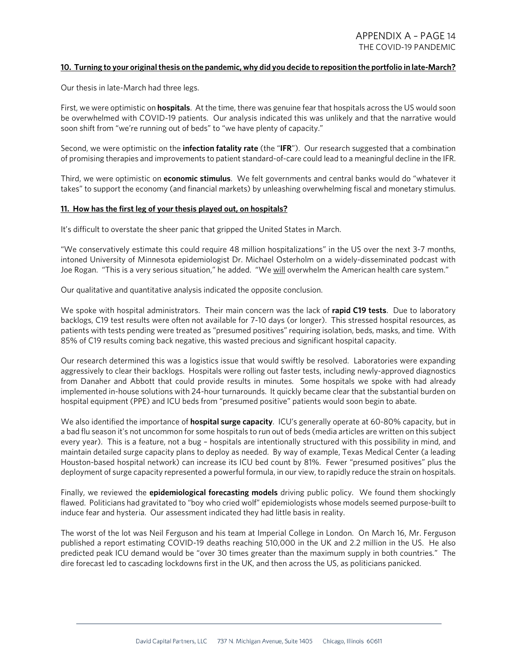## **10. Turning to your original thesis on the pandemic, why did you decide to reposition the portfolio in late-March?**

Our thesis in late-March had three legs.

First, we were optimistic on **hospitals**. At the time, there was genuine fear that hospitals across the US would soon be overwhelmed with COVID-19 patients. Our analysis indicated this was unlikely and that the narrative would soon shift from "we're running out of beds" to "we have plenty of capacity."

Second, we were optimistic on the **infection fatality rate** (the "**IFR**"). Our research suggested that a combination of promising therapies and improvements to patient standard-of-care could lead to a meaningful decline in the IFR.

Third, we were optimistic on **economic stimulus**. We felt governments and central banks would do "whatever it takes" to support the economy (and financial markets) by unleashing overwhelming fiscal and monetary stimulus.

#### **11. How has the first leg of your thesis played out, on hospitals?**

It's difficult to overstate the sheer panic that gripped the United States in March.

"We conservatively estimate this could require 48 million hospitalizations" in the US over the next 3-7 months, intoned University of Minnesota epidemiologist Dr. Michael Osterholm on a widely-disseminated podcast with Joe Rogan. "This is a very serious situation," he added. "We will overwhelm the American health care system."

Our qualitative and quantitative analysis indicated the opposite conclusion.

We spoke with hospital administrators. Their main concern was the lack of **rapid C19 tests**. Due to laboratory backlogs, C19 test results were often not available for 7-10 days (or longer). This stressed hospital resources, as patients with tests pending were treated as "presumed positives" requiring isolation, beds, masks, and time. With 85% of C19 results coming back negative, this wasted precious and significant hospital capacity.

Our research determined this was a logistics issue that would swiftly be resolved. Laboratories were expanding aggressively to clear their backlogs. Hospitals were rolling out faster tests, including newly-approved diagnostics from Danaher and Abbott that could provide results in minutes. Some hospitals we spoke with had already implemented in-house solutions with 24-hour turnarounds. It quickly became clear that the substantial burden on hospital equipment (PPE) and ICU beds from "presumed positive" patients would soon begin to abate.

We also identified the importance of **hospital surge capacity**. ICU's generally operate at 60-80% capacity, but in a bad flu season it's not uncommon for some hospitals to run out of beds (media articles are written on this subject every year). This is a feature, not a bug – hospitals are intentionally structured with this possibility in mind, and maintain detailed surge capacity plans to deploy as needed. By way of example, Texas Medical Center (a leading Houston-based hospital network) can increase its ICU bed count by 81%. Fewer "presumed positives" plus the deployment of surge capacity represented a powerful formula, in our view, to rapidly reduce the strain on hospitals.

Finally, we reviewed the **epidemiological forecasting models** driving public policy. We found them shockingly flawed. Politicians had gravitated to "boy who cried wolf" epidemiologists whose models seemed purpose-built to induce fear and hysteria. Our assessment indicated they had little basis in reality.

The worst of the lot was Neil Ferguson and his team at Imperial College in London. On March 16, Mr. Ferguson published a report estimating COVID-19 deaths reaching 510,000 in the UK and 2.2 million in the US. He also predicted peak ICU demand would be "over 30 times greater than the maximum supply in both countries." The dire forecast led to cascading lockdowns first in the UK, and then across the US, as politicians panicked.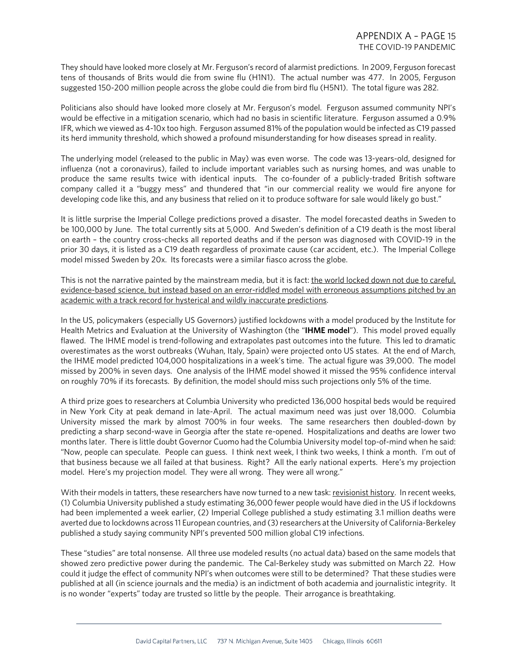They should have looked more closely at Mr. Ferguson's record of alarmist predictions. In 2009, Ferguson forecast tens of thousands of Brits would die from swine flu (H1N1). The actual number was 477. In 2005, Ferguson suggested 150-200 million people across the globe could die from bird flu (H5N1). The total figure was 282.

Politicians also should have looked more closely at Mr. Ferguson's model. Ferguson assumed community NPI's would be effective in a mitigation scenario, which had no basis in scientific literature. Ferguson assumed a 0.9% IFR, which we viewed as 4-10x too high. Ferguson assumed 81% of the population would be infected as C19 passed its herd immunity threshold, which showed a profound misunderstanding for how diseases spread in reality.

The underlying model (released to the public in May) was even worse. The code was 13-years-old, designed for influenza (not a coronavirus), failed to include important variables such as nursing homes, and was unable to produce the same results twice with identical inputs. The co-founder of a publicly-traded British software company called it a "buggy mess" and thundered that "in our commercial reality we would fire anyone for developing code like this, and any business that relied on it to produce software for sale would likely go bust."

It is little surprise the Imperial College predictions proved a disaster. The model forecasted deaths in Sweden to be 100,000 by June. The total currently sits at 5,000. And Sweden's definition of a C19 death is the most liberal on earth – the country cross-checks all reported deaths and if the person was diagnosed with COVID-19 in the prior 30 days, it is listed as a C19 death regardless of proximate cause (car accident, etc.). The Imperial College model missed Sweden by 20x. Its forecasts were a similar fiasco across the globe.

This is not the narrative painted by the mainstream media, but it is fact: the world locked down not due to careful, evidence-based science, but instead based on an error-riddled model with erroneous assumptions pitched by an academic with a track record for hysterical and wildly inaccurate predictions.

In the US, policymakers (especially US Governors) justified lockdowns with a model produced by the Institute for Health Metrics and Evaluation at the University of Washington (the "**IHME model**"). This model proved equally flawed. The IHME model is trend-following and extrapolates past outcomes into the future. This led to dramatic overestimates as the worst outbreaks (Wuhan, Italy, Spain) were projected onto US states. At the end of March, the IHME model predicted 104,000 hospitalizations in a week's time. The actual figure was 39,000. The model missed by 200% in seven days. One analysis of the IHME model showed it missed the 95% confidence interval on roughly 70% if its forecasts. By definition, the model should miss such projections only 5% of the time.

A third prize goes to researchers at Columbia University who predicted 136,000 hospital beds would be required in New York City at peak demand in late-April. The actual maximum need was just over 18,000. Columbia University missed the mark by almost 700% in four weeks. The same researchers then doubled-down by predicting a sharp second-wave in Georgia after the state re-opened. Hospitalizations and deaths are lower two months later. There is little doubt Governor Cuomo had the Columbia University model top-of-mind when he said: "Now, people can speculate. People can guess. I think next week, I think two weeks, I think a month. I'm out of that business because we all failed at that business. Right? All the early national experts. Here's my projection model. Here's my projection model. They were all wrong. They were all wrong."

With their models in tatters, these researchers have now turned to a new task: revisionist history. In recent weeks, (1) Columbia University published a study estimating 36,000 fewer people would have died in the US if lockdowns had been implemented a week earlier, (2) Imperial College published a study estimating 3.1 million deaths were averted due to lockdowns across 11 European countries, and (3) researchers at the University of California-Berkeley published a study saying community NPI's prevented 500 million global C19 infections.

These "studies" are total nonsense. All three use modeled results (no actual data) based on the same models that showed zero predictive power during the pandemic. The Cal-Berkeley study was submitted on March 22. How could it judge the effect of community NPI's when outcomes were still to be determined? That these studies were published at all (in science journals and the media) is an indictment of both academia and journalistic integrity. It is no wonder "experts" today are trusted so little by the people. Their arrogance is breathtaking.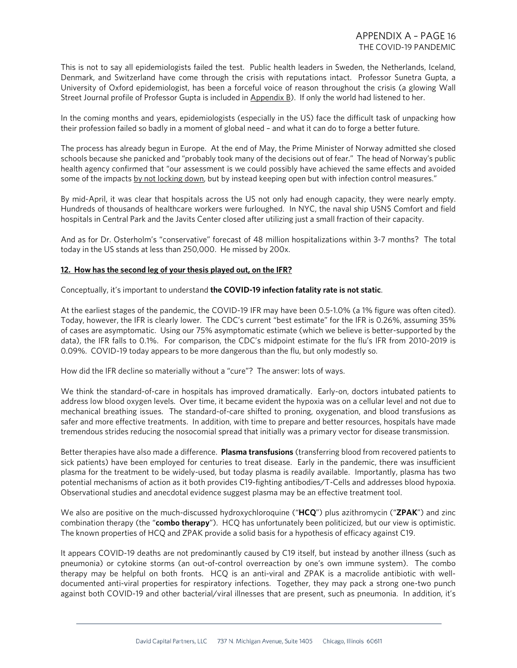This is not to say all epidemiologists failed the test. Public health leaders in Sweden, the Netherlands, Iceland, Denmark, and Switzerland have come through the crisis with reputations intact. Professor Sunetra Gupta, a University of Oxford epidemiologist, has been a forceful voice of reason throughout the crisis (a glowing Wall Street Journal profile of Professor Gupta is included in Appendix B). If only the world had listened to her.

In the coming months and years, epidemiologists (especially in the US) face the difficult task of unpacking how their profession failed so badly in a moment of global need – and what it can do to forge a better future.

The process has already begun in Europe. At the end of May, the Prime Minister of Norway admitted she closed schools because she panicked and "probably took many of the decisions out of fear." The head of Norway's public health agency confirmed that "our assessment is we could possibly have achieved the same effects and avoided some of the impacts by not locking down, but by instead keeping open but with infection control measures."

By mid-April, it was clear that hospitals across the US not only had enough capacity, they were nearly empty. Hundreds of thousands of healthcare workers were furloughed. In NYC, the naval ship USNS Comfort and field hospitals in Central Park and the Javits Center closed after utilizing just a small fraction of their capacity.

And as for Dr. Osterholm's "conservative" forecast of 48 million hospitalizations within 3-7 months? The total today in the US stands at less than 250,000. He missed by 200x.

#### **12. How has the second leg of your thesis played out, on the IFR?**

Conceptually, it's important to understand **the COVID-19 infection fatality rate is not static**.

At the earliest stages of the pandemic, the COVID-19 IFR may have been 0.5-1.0% (a 1% figure was often cited). Today, however, the IFR is clearly lower. The CDC's current "best estimate" for the IFR is 0.26%, assuming 35% of cases are asymptomatic. Using our 75% asymptomatic estimate (which we believe is better-supported by the data), the IFR falls to 0.1%. For comparison, the CDC's midpoint estimate for the flu's IFR from 2010-2019 is 0.09%. COVID-19 today appears to be more dangerous than the flu, but only modestly so.

How did the IFR decline so materially without a "cure"? The answer: lots of ways.

We think the standard-of-care in hospitals has improved dramatically. Early-on, doctors intubated patients to address low blood oxygen levels. Over time, it became evident the hypoxia was on a cellular level and not due to mechanical breathing issues. The standard-of-care shifted to proning, oxygenation, and blood transfusions as safer and more effective treatments. In addition, with time to prepare and better resources, hospitals have made tremendous strides reducing the nosocomial spread that initially was a primary vector for disease transmission.

Better therapies have also made a difference. **Plasma transfusions** (transferring blood from recovered patients to sick patients) have been employed for centuries to treat disease. Early in the pandemic, there was insufficient plasma for the treatment to be widely-used, but today plasma is readily available. Importantly, plasma has two potential mechanisms of action as it both provides C19-fighting antibodies/T-Cells and addresses blood hypoxia. Observational studies and anecdotal evidence suggest plasma may be an effective treatment tool.

We also are positive on the much-discussed hydroxychloroquine ("**HCQ**") plus azithromycin ("**ZPAK**") and zinc combination therapy (the "**combo therapy**"). HCQ has unfortunately been politicized, but our view is optimistic. The known properties of HCQ and ZPAK provide a solid basis for a hypothesis of efficacy against C19.

It appears COVID-19 deaths are not predominantly caused by C19 itself, but instead by another illness (such as pneumonia) or cytokine storms (an out-of-control overreaction by one's own immune system). The combo therapy may be helpful on both fronts. HCQ is an anti-viral and ZPAK is a macrolide antibiotic with welldocumented anti-viral properties for respiratory infections. Together, they may pack a strong one-two punch against both COVID-19 and other bacterial/viral illnesses that are present, such as pneumonia. In addition, it's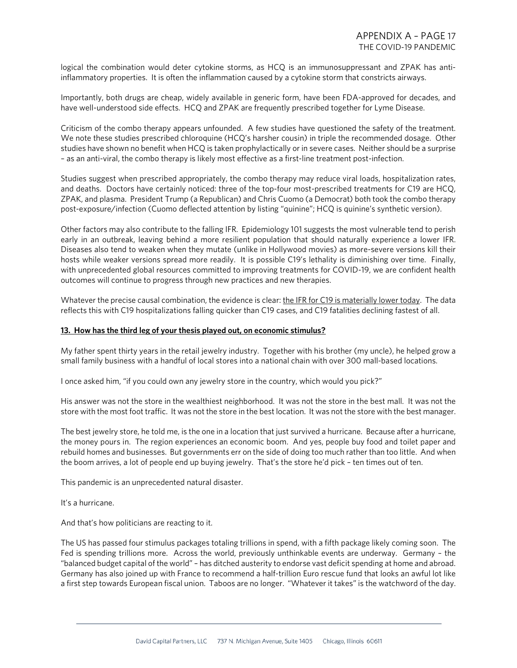logical the combination would deter cytokine storms, as HCQ is an immunosuppressant and ZPAK has antiinflammatory properties. It is often the inflammation caused by a cytokine storm that constricts airways.

Importantly, both drugs are cheap, widely available in generic form, have been FDA-approved for decades, and have well-understood side effects. HCQ and ZPAK are frequently prescribed together for Lyme Disease.

Criticism of the combo therapy appears unfounded. A few studies have questioned the safety of the treatment. We note these studies prescribed chloroquine (HCQ's harsher cousin) in triple the recommended dosage. Other studies have shown no benefit when HCQ is taken prophylactically or in severe cases. Neither should be a surprise – as an anti-viral, the combo therapy is likely most effective as a first-line treatment post-infection.

Studies suggest when prescribed appropriately, the combo therapy may reduce viral loads, hospitalization rates, and deaths. Doctors have certainly noticed: three of the top-four most-prescribed treatments for C19 are HCQ, ZPAK, and plasma. President Trump (a Republican) and Chris Cuomo (a Democrat) both took the combo therapy post-exposure/infection (Cuomo deflected attention by listing "quinine"; HCQ is quinine's synthetic version).

Other factors may also contribute to the falling IFR. Epidemiology 101 suggests the most vulnerable tend to perish early in an outbreak, leaving behind a more resilient population that should naturally experience a lower IFR. Diseases also tend to weaken when they mutate (unlike in Hollywood movies) as more-severe versions kill their hosts while weaker versions spread more readily. It is possible C19's lethality is diminishing over time. Finally, with unprecedented global resources committed to improving treatments for COVID-19, we are confident health outcomes will continue to progress through new practices and new therapies.

Whatever the precise causal combination, the evidence is clear: the IFR for C19 is materially lower today. The data reflects this with C19 hospitalizations falling quicker than C19 cases, and C19 fatalities declining fastest of all.

### **13. How has the third leg of your thesis played out, on economic stimulus?**

My father spent thirty years in the retail jewelry industry. Together with his brother (my uncle), he helped grow a small family business with a handful of local stores into a national chain with over 300 mall-based locations.

I once asked him, "if you could own any jewelry store in the country, which would you pick?"

His answer was not the store in the wealthiest neighborhood. It was not the store in the best mall. It was not the store with the most foot traffic. It was not the store in the best location. It was not the store with the best manager.

The best jewelry store, he told me, is the one in a location that just survived a hurricane. Because after a hurricane, the money pours in. The region experiences an economic boom. And yes, people buy food and toilet paper and rebuild homes and businesses. But governments err on the side of doing too much rather than too little. And when the boom arrives, a lot of people end up buying jewelry. That's the store he'd pick – ten times out of ten.

This pandemic is an unprecedented natural disaster.

It's a hurricane.

And that's how politicians are reacting to it.

The US has passed four stimulus packages totaling trillions in spend, with a fifth package likely coming soon. The Fed is spending trillions more. Across the world, previously unthinkable events are underway. Germany – the "balanced budget capital of the world" – has ditched austerity to endorse vast deficit spending at home and abroad. Germany has also joined up with France to recommend a half-trillion Euro rescue fund that looks an awful lot like a first step towards European fiscal union. Taboos are no longer. "Whatever it takes" is the watchword of the day.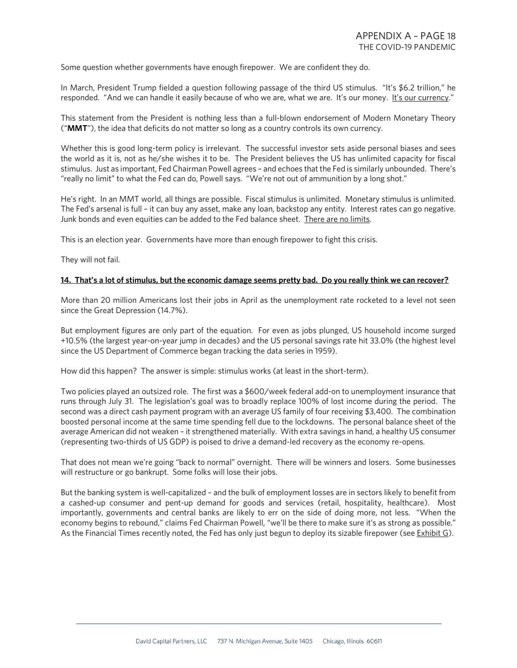Some question whether governments have enough firepower. We are confident they do.

In March, President Trump fielded a question following passage of the third US stimulus. "It's \$6.2 trillion," he responded. "And we can handle it easily because of who we are, what we are. It's our money. It's our currency."

This statement from the President is nothing less than a full-blown endorsement of Modern Monetary Theory ("**MMT**"), the idea that deficits do not matter so long as a country controls its own currency.

Whether this is good long-term policy is irrelevant. The successful investor sets aside personal biases and sees the world as it is, not as he/she wishes it to be. The President believes the US has unlimited capacity for fiscal stimulus. Just as important, Fed Chairman Powell agrees – and echoes that the Fed is similarly unbounded. There's "really no limit" to what the Fed can do, Powell says. "We're not out of ammunition by a long shot."

He's right. In an MMT world, all things are possible. Fiscal stimulus is unlimited. Monetary stimulus is unlimited. The Fed's arsenal is full – it can buy any asset, make any loan, backstop any entity. Interest rates can go negative. Junk bonds and even equities can be added to the Fed balance sheet. There are no limits.

This is an election year. Governments have more than enough firepower to fight this crisis.

They will not fail.

#### **14. That's a lot of stimulus, but the economic damage seems pretty bad. Do you really think we can recover?**

More than 20 million Americans lost their jobs in April as the unemployment rate rocketed to a level not seen since the Great Depression (14.7%).

But employment figures are only part of the equation. For even as jobs plunged, US household income surged +10.5% (the largest year-on-year jump in decades) and the US personal savings rate hit 33.0% (the highest level since the US Department of Commerce began tracking the data series in 1959).

How did this happen? The answer is simple: stimulus works (at least in the short-term).

Two policies played an outsized role. The first was a \$600/week federal add-on to unemployment insurance that runs through July 31. The legislation's goal was to broadly replace 100% of lost income during the period. The second was a direct cash payment program with an average US family of four receiving \$3,400. The combination boosted personal income at the same time spending fell due to the lockdowns. The personal balance sheet of the average American did not weaken – it strengthened materially. With extra savings in hand, a healthy US consumer (representing two-thirds of US GDP) is poised to drive a demand-led recovery as the economy re-opens.

That does not mean we're going "back to normal" overnight. There will be winners and losers. Some businesses will restructure or go bankrupt. Some folks will lose their jobs.

But the banking system is well-capitalized – and the bulk of employment losses are in sectors likely to benefit from a cashed-up consumer and pent-up demand for goods and services (retail, hospitality, healthcare). Most importantly, governments and central banks are likely to err on the side of doing more, not less. "When the economy begins to rebound," claims Fed Chairman Powell, "we'll be there to make sure it's as strong as possible." As the Financial Times recently noted, the Fed has only just begun to deploy its sizable firepower (see Exhibit G).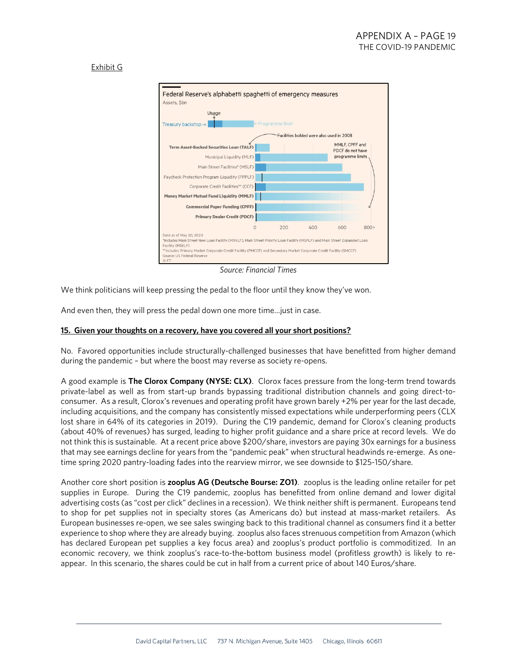## Exhibit G



*Source: Financial Times*

We think politicians will keep pressing the pedal to the floor until they know they've won.

And even then, they will press the pedal down one more time…just in case.

#### **15. Given your thoughts on a recovery, have you covered all your short positions?**

No. Favored opportunities include structurally-challenged businesses that have benefitted from higher demand during the pandemic – but where the boost may reverse as society re-opens.

A good example is **The Clorox Company (NYSE: CLX)**. Clorox faces pressure from the long-term trend towards private-label as well as from start-up brands bypassing traditional distribution channels and going direct-toconsumer. As a result, Clorox's revenues and operating profit have grown barely +2% per year for the last decade, including acquisitions, and the company has consistently missed expectations while underperforming peers (CLX lost share in 64% of its categories in 2019). During the C19 pandemic, demand for Clorox's cleaning products (about 40% of revenues) has surged, leading to higher profit guidance and a share price at record levels. We do not think this is sustainable. At a recent price above \$200/share, investors are paying 30x earnings for a business that may see earnings decline for years from the "pandemic peak" when structural headwinds re-emerge. As onetime spring 2020 pantry-loading fades into the rearview mirror, we see downside to \$125-150/share.

Another core short position is **zooplus AG (Deutsche Bourse: ZO1)**. zooplus is the leading online retailer for pet supplies in Europe. During the C19 pandemic, zooplus has benefitted from online demand and lower digital advertising costs (as "cost per click" declines in a recession). We think neither shift is permanent. Europeans tend to shop for pet supplies not in specialty stores (as Americans do) but instead at mass-market retailers. As European businesses re-open, we see sales swinging back to this traditional channel as consumers find it a better experience to shop where they are already buying. zooplus also faces strenuous competition from Amazon (which has declared European pet supplies a key focus area) and zooplus's product portfolio is commoditized. In an economic recovery, we think zooplus's race-to-the-bottom business model (profitless growth) is likely to reappear. In this scenario, the shares could be cut in half from a current price of about 140 Euros/share.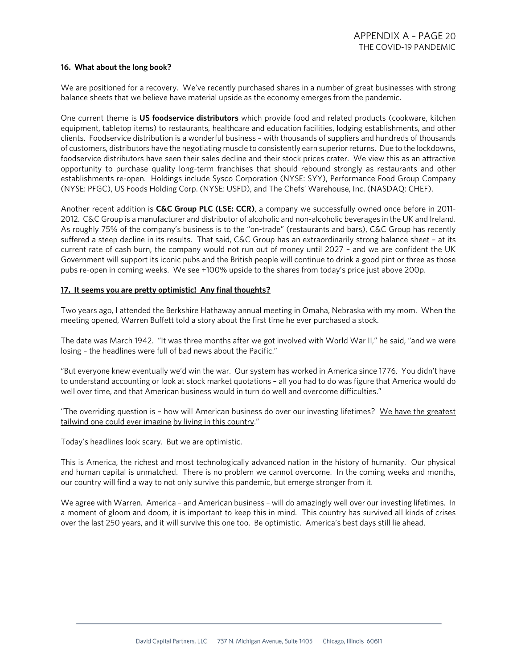### **16. What about the long book?**

We are positioned for a recovery. We've recently purchased shares in a number of great businesses with strong balance sheets that we believe have material upside as the economy emerges from the pandemic.

One current theme is **US foodservice distributors** which provide food and related products (cookware, kitchen equipment, tabletop items) to restaurants, healthcare and education facilities, lodging establishments, and other clients. Foodservice distribution is a wonderful business – with thousands of suppliers and hundreds of thousands of customers, distributors have the negotiating muscle to consistently earn superior returns. Due to the lockdowns, foodservice distributors have seen their sales decline and their stock prices crater. We view this as an attractive opportunity to purchase quality long-term franchises that should rebound strongly as restaurants and other establishments re-open. Holdings include Sysco Corporation (NYSE: SYY), Performance Food Group Company (NYSE: PFGC), US Foods Holding Corp. (NYSE: USFD), and The Chefs' Warehouse, Inc. (NASDAQ: CHEF).

Another recent addition is **C&C Group PLC (LSE: CCR)**, a company we successfully owned once before in 2011- 2012. C&C Group is a manufacturer and distributor of alcoholic and non-alcoholic beverages in the UK and Ireland. As roughly 75% of the company's business is to the "on-trade" (restaurants and bars), C&C Group has recently suffered a steep decline in its results. That said, C&C Group has an extraordinarily strong balance sheet – at its current rate of cash burn, the company would not run out of money until 2027 – and we are confident the UK Government will support its iconic pubs and the British people will continue to drink a good pint or three as those pubs re-open in coming weeks. We see +100% upside to the shares from today's price just above 200p.

## **17. It seems you are pretty optimistic! Any final thoughts?**

Two years ago, I attended the Berkshire Hathaway annual meeting in Omaha, Nebraska with my mom. When the meeting opened, Warren Buffett told a story about the first time he ever purchased a stock.

The date was March 1942. "It was three months after we got involved with World War II," he said, "and we were losing – the headlines were full of bad news about the Pacific."

"But everyone knew eventually we'd win the war. Our system has worked in America since 1776. You didn't have to understand accounting or look at stock market quotations – all you had to do was figure that America would do well over time, and that American business would in turn do well and overcome difficulties."

"The overriding question is - how will American business do over our investing lifetimes? We have the greatest tailwind one could ever imagine by living in this country."

Today's headlines look scary. But we are optimistic.

This is America, the richest and most technologically advanced nation in the history of humanity. Our physical and human capital is unmatched. There is no problem we cannot overcome. In the coming weeks and months, our country will find a way to not only survive this pandemic, but emerge stronger from it.

We agree with Warren. America – and American business – will do amazingly well over our investing lifetimes. In a moment of gloom and doom, it is important to keep this in mind. This country has survived all kinds of crises over the last 250 years, and it will survive this one too. Be optimistic. America's best days still lie ahead.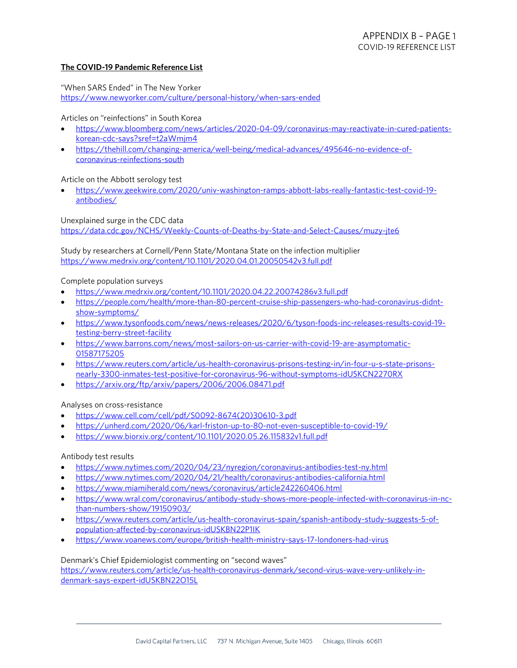## **The COVID-19 Pandemic Reference List**

"When SARS Ended" in The New Yorker <https://www.newyorker.com/culture/personal-history/when-sars-ended>

Articles on "reinfections" in South Korea

- [https://www.bloomberg.com/news/articles/2020-04-09/coronavirus-may-reactivate-in-cured-patients](https://www.bloomberg.com/news/articles/2020-04-09/coronavirus-may-reactivate-in-cured-patients-korean-cdc-says?sref=t2aWmjm4)[korean-cdc-says?sref=t2aWmjm4](https://www.bloomberg.com/news/articles/2020-04-09/coronavirus-may-reactivate-in-cured-patients-korean-cdc-says?sref=t2aWmjm4)
- [https://thehill.com/changing-america/well-being/medical-advances/495646-no-evidence-of](https://thehill.com/changing-america/well-being/medical-advances/495646-no-evidence-of-coronavirus-reinfections-south)[coronavirus-reinfections-south](https://thehill.com/changing-america/well-being/medical-advances/495646-no-evidence-of-coronavirus-reinfections-south)

## Article on the Abbott serology test

• [https://www.geekwire.com/2020/univ-washington-ramps-abbott-labs-really-fantastic-test-covid-19](https://www.geekwire.com/2020/univ-washington-ramps-abbott-labs-really-fantastic-test-covid-19-antibodies/) [antibodies/](https://www.geekwire.com/2020/univ-washington-ramps-abbott-labs-really-fantastic-test-covid-19-antibodies/)

Unexplained surge in the CDC data <https://data.cdc.gov/NCHS/Weekly-Counts-of-Deaths-by-State-and-Select-Causes/muzy-jte6>

Study by researchers at Cornell/Penn State/Montana State on the infection multiplier <https://www.medrxiv.org/content/10.1101/2020.04.01.20050542v3.full.pdf>

#### Complete population surveys

- <https://www.medrxiv.org/content/10.1101/2020.04.22.20074286v3.full.pdf>
- [https://people.com/health/more-than-80-percent-cruise-ship-passengers-who-had-coronavirus-didnt](https://people.com/health/more-than-80-percent-cruise-ship-passengers-who-had-coronavirus-didnt-show-symptoms/)[show-symptoms/](https://people.com/health/more-than-80-percent-cruise-ship-passengers-who-had-coronavirus-didnt-show-symptoms/)
- [https://www.tysonfoods.com/news/news-releases/2020/6/tyson-foods-inc-releases-results-covid-19](https://www.tysonfoods.com/news/news-releases/2020/6/tyson-foods-inc-releases-results-covid-19-testing-berry-street-facility) [testing-berry-street-facility](https://www.tysonfoods.com/news/news-releases/2020/6/tyson-foods-inc-releases-results-covid-19-testing-berry-street-facility)
- [https://www.barrons.com/news/most-sailors-on-us-carrier-with-covid-19-are-asymptomatic-](https://www.barrons.com/news/most-sailors-on-us-carrier-with-covid-19-are-asymptomatic-01587175205)[01587175205](https://www.barrons.com/news/most-sailors-on-us-carrier-with-covid-19-are-asymptomatic-01587175205)
- [https://www.reuters.com/article/us-health-coronavirus-prisons-testing-in/in-four-u-s-state-prisons](https://www.reuters.com/article/us-health-coronavirus-prisons-testing-in/in-four-u-s-state-prisons-nearly-3300-inmates-test-positive-for-coronavirus-96-without-symptoms-idUSKCN2270RX)[nearly-3300-inmates-test-positive-for-coronavirus-96-without-symptoms-idUSKCN2270RX](https://www.reuters.com/article/us-health-coronavirus-prisons-testing-in/in-four-u-s-state-prisons-nearly-3300-inmates-test-positive-for-coronavirus-96-without-symptoms-idUSKCN2270RX)
- <https://arxiv.org/ftp/arxiv/papers/2006/2006.08471.pdf>

## Analyses on cross-resistance

- [https://www.cell.com/cell/pdf/S0092-8674\(20\)30610-3.pdf](https://www.cell.com/cell/pdf/S0092-8674(20)30610-3.pdf)
- <https://unherd.com/2020/06/karl-friston-up-to-80-not-even-susceptible-to-covid-19/>
- <https://www.biorxiv.org/content/10.1101/2020.05.26.115832v1.full.pdf>

## Antibody test results

- <https://www.nytimes.com/2020/04/23/nyregion/coronavirus-antibodies-test-ny.html>
- <https://www.nytimes.com/2020/04/21/health/coronavirus-antibodies-california.html>
- <https://www.miamiherald.com/news/coronavirus/article242260406.html>
- [https://www.wral.com/coronavirus/antibody-study-shows-more-people-infected-with-coronavirus-in-nc](https://www.wral.com/coronavirus/antibody-study-shows-more-people-infected-with-coronavirus-in-nc-than-numbers-show/19150903/)[than-numbers-show/19150903/](https://www.wral.com/coronavirus/antibody-study-shows-more-people-infected-with-coronavirus-in-nc-than-numbers-show/19150903/)
- [https://www.reuters.com/article/us-health-coronavirus-spain/spanish-antibody-study-suggests-5-of](https://www.reuters.com/article/us-health-coronavirus-spain/spanish-antibody-study-suggests-5-of-population-affected-by-coronavirus-idUSKBN22P1IK)[population-affected-by-coronavirus-idUSKBN22P1IK](https://www.reuters.com/article/us-health-coronavirus-spain/spanish-antibody-study-suggests-5-of-population-affected-by-coronavirus-idUSKBN22P1IK)
- <https://www.voanews.com/europe/british-health-ministry-says-17-londoners-had-virus>

## Denmark's Chief Epidemiologist commenting on "second waves"

[https://www.reuters.com/article/us-health-coronavirus-denmark/second-virus-wave-very-unlikely-in](https://www.reuters.com/article/us-health-coronavirus-denmark/second-virus-wave-very-unlikely-in-denmark-says-expert-idUSKBN22O15L)[denmark-says-expert-idUSKBN22O15L](https://www.reuters.com/article/us-health-coronavirus-denmark/second-virus-wave-very-unlikely-in-denmark-says-expert-idUSKBN22O15L)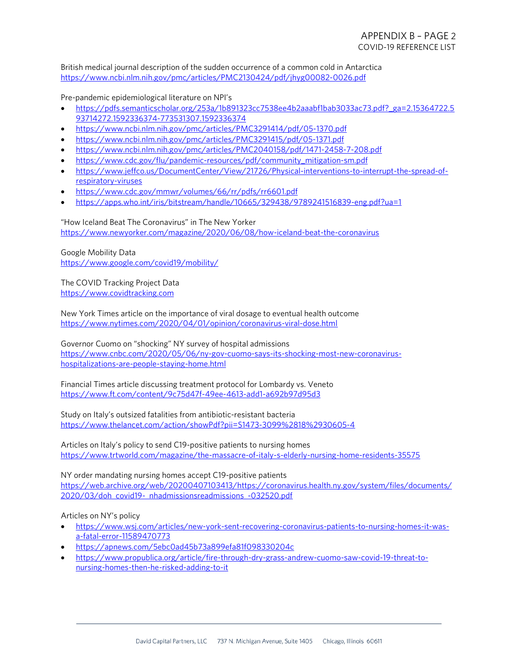British medical journal description of the sudden occurrence of a common cold in Antarctica <https://www.ncbi.nlm.nih.gov/pmc/articles/PMC2130424/pdf/jhyg00082-0026.pdf>

Pre-pandemic epidemiological literature on NPI's

- [https://pdfs.semanticscholar.org/253a/1b891323cc7538ee4b2aaabf1bab3033ac73.pdf?\\_ga=2.15364722.5](https://pdfs.semanticscholar.org/253a/1b891323cc7538ee4b2aaabf1bab3033ac73.pdf?_ga=2.15364722.593714272.1592336374-773531307.1592336374) [93714272.1592336374-773531307.1592336374](https://pdfs.semanticscholar.org/253a/1b891323cc7538ee4b2aaabf1bab3033ac73.pdf?_ga=2.15364722.593714272.1592336374-773531307.1592336374)
- <https://www.ncbi.nlm.nih.gov/pmc/articles/PMC3291414/pdf/05-1370.pdf>
- <https://www.ncbi.nlm.nih.gov/pmc/articles/PMC3291415/pdf/05-1371.pdf>
- <https://www.ncbi.nlm.nih.gov/pmc/articles/PMC2040158/pdf/1471-2458-7-208.pdf>
- [https://www.cdc.gov/flu/pandemic-resources/pdf/community\\_mitigation-sm.pdf](https://www.cdc.gov/flu/pandemic-resources/pdf/community_mitigation-sm.pdf)
- [https://www.jeffco.us/DocumentCenter/View/21726/Physical-interventions-to-interrupt-the-spread-of](https://www.jeffco.us/DocumentCenter/View/21726/Physical-interventions-to-interrupt-the-spread-of-respiratory-viruses)[respiratory-viruses](https://www.jeffco.us/DocumentCenter/View/21726/Physical-interventions-to-interrupt-the-spread-of-respiratory-viruses)
- <https://www.cdc.gov/mmwr/volumes/66/rr/pdfs/rr6601.pdf>
- <https://apps.who.int/iris/bitstream/handle/10665/329438/9789241516839-eng.pdf?ua=1>

"How Iceland Beat The Coronavirus" in The New Yorker <https://www.newyorker.com/magazine/2020/06/08/how-iceland-beat-the-coronavirus>

Google Mobility Data <https://www.google.com/covid19/mobility/>

The COVID Tracking Project Data [https://www.covidtracking.com](https://www.covidtracking.com/)

New York Times article on the importance of viral dosage to eventual health outcome <https://www.nytimes.com/2020/04/01/opinion/coronavirus-viral-dose.html>

Governor Cuomo on "shocking" NY survey of hospital admissions [https://www.cnbc.com/2020/05/06/ny-gov-cuomo-says-its-shocking-most-new-coronavirus](https://www.cnbc.com/2020/05/06/ny-gov-cuomo-says-its-shocking-most-new-coronavirus-hospitalizations-are-people-staying-home.html)[hospitalizations-are-people-staying-home.html](https://www.cnbc.com/2020/05/06/ny-gov-cuomo-says-its-shocking-most-new-coronavirus-hospitalizations-are-people-staying-home.html)

Financial Times article discussing treatment protocol for Lombardy vs. Veneto <https://www.ft.com/content/9c75d47f-49ee-4613-add1-a692b97d95d3>

Study on Italy's outsized fatalities from antibiotic-resistant bacteria <https://www.thelancet.com/action/showPdf?pii=S1473-3099%2818%2930605-4>

Articles on Italy's policy to send C19-positive patients to nursing homes <https://www.trtworld.com/magazine/the-massacre-of-italy-s-elderly-nursing-home-residents-35575>

NY order mandating nursing homes accept C19-positive patients [https://web.archive.org/web/20200407103413/https://coronavirus.health.ny.gov/system/files/documents/](https://web.archive.org/web/20200407103413/https:/coronavirus.health.ny.gov/system/files/documents/2020/03/doh_covid19-_nhadmissionsreadmissions_-032520.pdf) [2020/03/doh\\_covid19-\\_nhadmissionsreadmissions\\_-032520.pdf](https://web.archive.org/web/20200407103413/https:/coronavirus.health.ny.gov/system/files/documents/2020/03/doh_covid19-_nhadmissionsreadmissions_-032520.pdf)

Articles on NY's policy

- [https://www.wsj.com/articles/new-york-sent-recovering-coronavirus-patients-to-nursing-homes-it-was](https://www.wsj.com/articles/new-york-sent-recovering-coronavirus-patients-to-nursing-homes-it-was-a-fatal-error-11589470773)[a-fatal-error-11589470773](https://www.wsj.com/articles/new-york-sent-recovering-coronavirus-patients-to-nursing-homes-it-was-a-fatal-error-11589470773)
- <https://apnews.com/5ebc0ad45b73a899efa81f098330204c>
- [https://www.propublica.org/article/fire-through-dry-grass-andrew-cuomo-saw-covid-19-threat-to](https://www.propublica.org/article/fire-through-dry-grass-andrew-cuomo-saw-covid-19-threat-to-nursing-homes-then-he-risked-adding-to-it)[nursing-homes-then-he-risked-adding-to-it](https://www.propublica.org/article/fire-through-dry-grass-andrew-cuomo-saw-covid-19-threat-to-nursing-homes-then-he-risked-adding-to-it)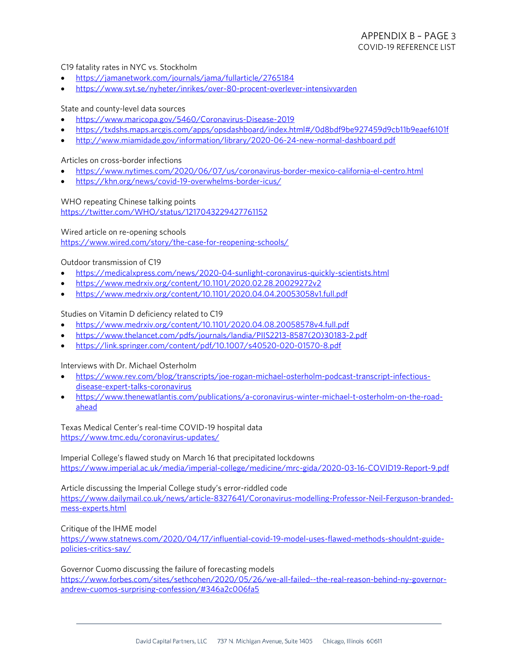## C19 fatality rates in NYC vs. Stockholm

- <https://jamanetwork.com/journals/jama/fullarticle/2765184>
- <https://www.svt.se/nyheter/inrikes/over-80-procent-overlever-intensivvarden>

### State and county-level data sources

- <https://www.maricopa.gov/5460/Coronavirus-Disease-2019>
- <https://txdshs.maps.arcgis.com/apps/opsdashboard/index.html#/0d8bdf9be927459d9cb11b9eaef6101f>
- <http://www.miamidade.gov/information/library/2020-06-24-new-normal-dashboard.pdf>

### Articles on cross-border infections

- <https://www.nytimes.com/2020/06/07/us/coronavirus-border-mexico-california-el-centro.html>
- <https://khn.org/news/covid-19-overwhelms-border-icus/>

#### WHO repeating Chinese talking points

<https://twitter.com/WHO/status/1217043229427761152>

Wired article on re-opening schools

<https://www.wired.com/story/the-case-for-reopening-schools/>

#### Outdoor transmission of C19

- <https://medicalxpress.com/news/2020-04-sunlight-coronavirus-quickly-scientists.html>
- <https://www.medrxiv.org/content/10.1101/2020.02.28.20029272v2>
- <https://www.medrxiv.org/content/10.1101/2020.04.04.20053058v1.full.pdf>

#### Studies on Vitamin D deficiency related to C19

- <https://www.medrxiv.org/content/10.1101/2020.04.08.20058578v4.full.pdf>
- [https://www.thelancet.com/pdfs/journals/landia/PIIS2213-8587\(20\)30183-2.pdf](https://www.thelancet.com/pdfs/journals/landia/PIIS2213-8587(20)30183-2.pdf)
- <https://link.springer.com/content/pdf/10.1007/s40520-020-01570-8.pdf>

### Interviews with Dr. Michael Osterholm

- [https://www.rev.com/blog/transcripts/joe-rogan-michael-osterholm-podcast-transcript-infectious](https://www.rev.com/blog/transcripts/joe-rogan-michael-osterholm-podcast-transcript-infectious-disease-expert-talks-coronavirus)[disease-expert-talks-coronavirus](https://www.rev.com/blog/transcripts/joe-rogan-michael-osterholm-podcast-transcript-infectious-disease-expert-talks-coronavirus)
- [https://www.thenewatlantis.com/publications/a-coronavirus-winter-michael-t-osterholm-on-the-road](https://www.thenewatlantis.com/publications/a-coronavirus-winter-michael-t-osterholm-on-the-road-ahead)[ahead](https://www.thenewatlantis.com/publications/a-coronavirus-winter-michael-t-osterholm-on-the-road-ahead)

Texas Medical Center's real-time COVID-19 hospital data <https://www.tmc.edu/coronavirus-updates/>

Imperial College's flawed study on March 16 that precipitated lockdowns <https://www.imperial.ac.uk/media/imperial-college/medicine/mrc-gida/2020-03-16-COVID19-Report-9.pdf>

Article discussing the Imperial College study's error-riddled code [https://www.dailymail.co.uk/news/article-8327641/Coronavirus-modelling-Professor-Neil-Ferguson-branded](https://www.dailymail.co.uk/news/article-8327641/Coronavirus-modelling-Professor-Neil-Ferguson-branded-mess-experts.html)[mess-experts.html](https://www.dailymail.co.uk/news/article-8327641/Coronavirus-modelling-Professor-Neil-Ferguson-branded-mess-experts.html)

Critique of the IHME model

[https://www.statnews.com/2020/04/17/influential-covid-19-model-uses-flawed-methods-shouldnt-guide](https://www.statnews.com/2020/04/17/influential-covid-19-model-uses-flawed-methods-shouldnt-guide-policies-critics-say/)[policies-critics-say/](https://www.statnews.com/2020/04/17/influential-covid-19-model-uses-flawed-methods-shouldnt-guide-policies-critics-say/)

Governor Cuomo discussing the failure of forecasting models [https://www.forbes.com/sites/sethcohen/2020/05/26/we-all-failed--the-real-reason-behind-ny-governor](https://www.forbes.com/sites/sethcohen/2020/05/26/we-all-failed--the-real-reason-behind-ny-governor-andrew-cuomos-surprising-confession/#346a2c006fa5)[andrew-cuomos-surprising-confession/#346a2c006fa5](https://www.forbes.com/sites/sethcohen/2020/05/26/we-all-failed--the-real-reason-behind-ny-governor-andrew-cuomos-surprising-confession/#346a2c006fa5)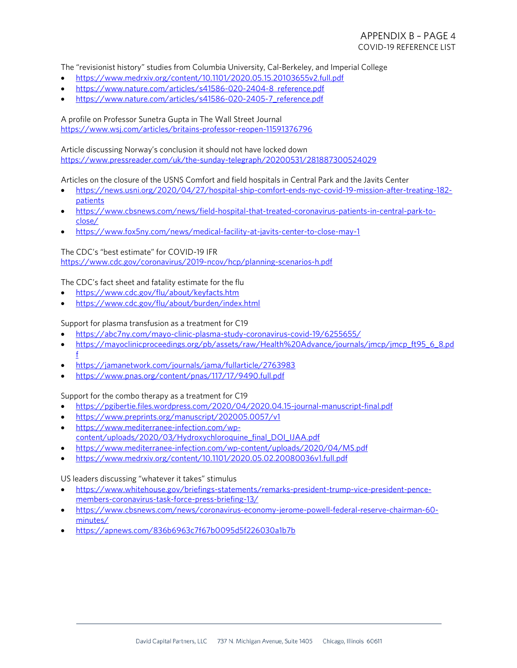The "revisionist history" studies from Columbia University, Cal-Berkeley, and Imperial College

- <https://www.medrxiv.org/content/10.1101/2020.05.15.20103655v2.full.pdf>
- [https://www.nature.com/articles/s41586-020-2404-8\\_reference.pdf](https://www.nature.com/articles/s41586-020-2404-8_reference.pdf)
- [https://www.nature.com/articles/s41586-020-2405-7\\_reference.pdf](https://www.nature.com/articles/s41586-020-2405-7_reference.pdf)

A profile on Professor Sunetra Gupta in The Wall Street Journal <https://www.wsj.com/articles/britains-professor-reopen-11591376796>

Article discussing Norway's conclusion it should not have locked down <https://www.pressreader.com/uk/the-sunday-telegraph/20200531/281887300524029>

Articles on the closure of the USNS Comfort and field hospitals in Central Park and the Javits Center

- [https://news.usni.org/2020/04/27/hospital-ship-comfort-ends-nyc-covid-19-mission-after-treating-182](https://news.usni.org/2020/04/27/hospital-ship-comfort-ends-nyc-covid-19-mission-after-treating-182-patients) [patients](https://news.usni.org/2020/04/27/hospital-ship-comfort-ends-nyc-covid-19-mission-after-treating-182-patients)
- [https://www.cbsnews.com/news/field-hospital-that-treated-coronavirus-patients-in-central-park-to](https://www.cbsnews.com/news/field-hospital-that-treated-coronavirus-patients-in-central-park-to-close/)[close/](https://www.cbsnews.com/news/field-hospital-that-treated-coronavirus-patients-in-central-park-to-close/)
- <https://www.fox5ny.com/news/medical-facility-at-javits-center-to-close-may-1>

The CDC's "best estimate" for COVID-19 IFR <https://www.cdc.gov/coronavirus/2019-ncov/hcp/planning-scenarios-h.pdf>

The CDC's fact sheet and fatality estimate for the flu

- <https://www.cdc.gov/flu/about/keyfacts.htm>
- <https://www.cdc.gov/flu/about/burden/index.html>

## Support for plasma transfusion as a treatment for C19

- <https://abc7ny.com/mayo-clinic-plasma-study-coronavirus-covid-19/6255655/>
- [https://mayoclinicproceedings.org/pb/assets/raw/Health%20Advance/journals/jmcp/jmcp\\_ft95\\_6\\_8.pd](https://mayoclinicproceedings.org/pb/assets/raw/Health%20Advance/journals/jmcp/jmcp_ft95_6_8.pdf) [f](https://mayoclinicproceedings.org/pb/assets/raw/Health%20Advance/journals/jmcp/jmcp_ft95_6_8.pdf)
- <https://jamanetwork.com/journals/jama/fullarticle/2763983>
- <https://www.pnas.org/content/pnas/117/17/9490.full.pdf>

Support for the combo therapy as a treatment for C19

- <https://pgibertie.files.wordpress.com/2020/04/2020.04.15-journal-manuscript-final.pdf>
- <https://www.preprints.org/manuscript/202005.0057/v1>
- [https://www.mediterranee-infection.com/wp](https://www.mediterranee-infection.com/wp-content/uploads/2020/03/Hydroxychloroquine_final_DOI_IJAA.pdf)[content/uploads/2020/03/Hydroxychloroquine\\_final\\_DOI\\_IJAA.pdf](https://www.mediterranee-infection.com/wp-content/uploads/2020/03/Hydroxychloroquine_final_DOI_IJAA.pdf)
- <https://www.mediterranee-infection.com/wp-content/uploads/2020/04/MS.pdf>
- <https://www.medrxiv.org/content/10.1101/2020.05.02.20080036v1.full.pdf>

US leaders discussing "whatever it takes" stimulus

- [https://www.whitehouse.gov/briefings-statements/remarks-president-trump-vice-president-pence](https://www.whitehouse.gov/briefings-statements/remarks-president-trump-vice-president-pence-members-coronavirus-task-force-press-briefing-13/)[members-coronavirus-task-force-press-briefing-13/](https://www.whitehouse.gov/briefings-statements/remarks-president-trump-vice-president-pence-members-coronavirus-task-force-press-briefing-13/)
- [https://www.cbsnews.com/news/coronavirus-economy-jerome-powell-federal-reserve-chairman-60](https://www.cbsnews.com/news/coronavirus-economy-jerome-powell-federal-reserve-chairman-60-minutes/) [minutes/](https://www.cbsnews.com/news/coronavirus-economy-jerome-powell-federal-reserve-chairman-60-minutes/)
- <https://apnews.com/836b6963c7f67b0095d5f226030a1b7b>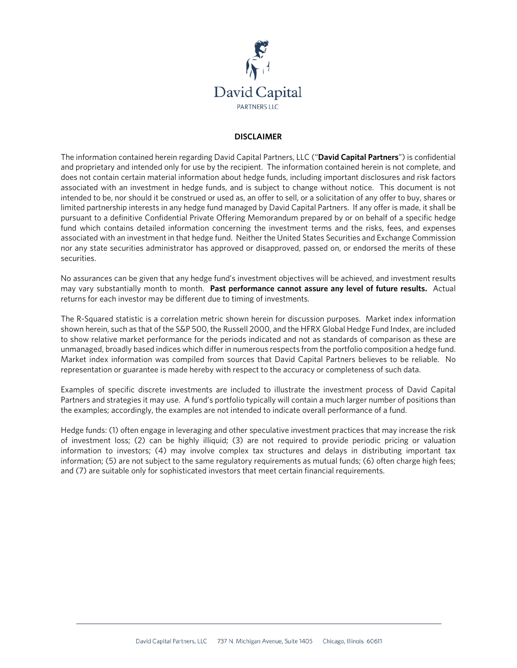

## **DISCLAIMER**

The information contained herein regarding David Capital Partners, LLC ("**David Capital Partners**") is confidential and proprietary and intended only for use by the recipient. The information contained herein is not complete, and does not contain certain material information about hedge funds, including important disclosures and risk factors associated with an investment in hedge funds, and is subject to change without notice. This document is not intended to be, nor should it be construed or used as, an offer to sell, or a solicitation of any offer to buy, shares or limited partnership interests in any hedge fund managed by David Capital Partners. If any offer is made, it shall be pursuant to a definitive Confidential Private Offering Memorandum prepared by or on behalf of a specific hedge fund which contains detailed information concerning the investment terms and the risks, fees, and expenses associated with an investment in that hedge fund. Neither the United States Securities and Exchange Commission nor any state securities administrator has approved or disapproved, passed on, or endorsed the merits of these securities.

No assurances can be given that any hedge fund's investment objectives will be achieved, and investment results may vary substantially month to month. **Past performance cannot assure any level of future results.** Actual returns for each investor may be different due to timing of investments.

The R-Squared statistic is a correlation metric shown herein for discussion purposes. Market index information shown herein, such as that of the S&P 500, the Russell 2000, and the HFRX Global Hedge Fund Index, are included to show relative market performance for the periods indicated and not as standards of comparison as these are unmanaged, broadly based indices which differ in numerous respects from the portfolio composition a hedge fund. Market index information was compiled from sources that David Capital Partners believes to be reliable. No representation or guarantee is made hereby with respect to the accuracy or completeness of such data.

Examples of specific discrete investments are included to illustrate the investment process of David Capital Partners and strategies it may use. A fund's portfolio typically will contain a much larger number of positions than the examples; accordingly, the examples are not intended to indicate overall performance of a fund.

Hedge funds: (1) often engage in leveraging and other speculative investment practices that may increase the risk of investment loss; (2) can be highly illiquid; (3) are not required to provide periodic pricing or valuation information to investors; (4) may involve complex tax structures and delays in distributing important tax information; (5) are not subject to the same regulatory requirements as mutual funds; (6) often charge high fees; and (7) are suitable only for sophisticated investors that meet certain financial requirements.